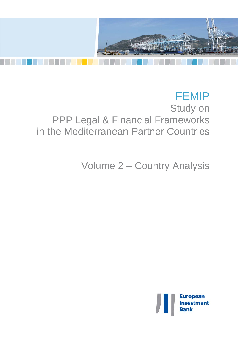

# FEMIP Study on PPP Legal & Financial Frameworks in the Mediterranean Partner Countries

Volume 2 – Country Analysis

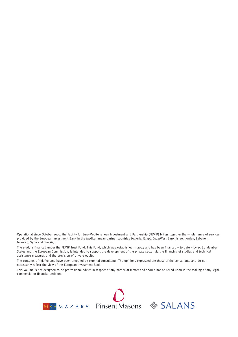Operational since October 2002, the Facility for Euro-Mediterranean Investment and Partnership (FEMIP) brings together the whole range of services provided by the European Investment Bank in the Mediterranean partner countries (Algeria, Egypt, Gaza/West Bank, Israel, Jordan, Lebanon, Morocco, Syria and Tunisia).

The study is financed under the FEMIP Trust Fund. This Fund, which was established in 2004 and has been financed – to date – by 15 EU Member States and the European Commission, is intended to support the development of the private sector via the financing of studies and technical assistance measures and the provision of private equity.

The contents of this Volume have been prepared by external consultants. The opinions expressed are those of the consultants and do not necessarily reflect the view of the European Investment Bank.

This Volume is not designed to be professional advice in respect of any particular matter and should not be relied upon in the making of any legal, commercial or financial decision.





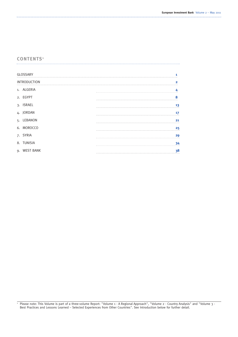# **CONTENTS1**

|  | GLOSSARY            |  |    |
|--|---------------------|--|----|
|  | <b>INTRODUCTION</b> |  |    |
|  | 1. ALGERIA          |  |    |
|  | 2. EGYPT            |  | 8  |
|  | 3. ISRAEL           |  | 13 |
|  | 4. JORDAN           |  | 17 |
|  | 5. LEBANON          |  | 21 |
|  | 6. MOROCCO          |  | 25 |
|  | 7. SYRIA            |  | 29 |
|  | 8. TUNISIA          |  | 34 |
|  | 9. WEST BANK        |  | 38 |

<sup>1</sup> Please note: This Volume is part of a three-volume Report: "Volume 1 - A Regional Approach", "Volume 2 - Country Analysis" and "Volume 3 - Best Practices and Lessons Learned – Selected Experiences from Other Countries". See Introduction below for further detail.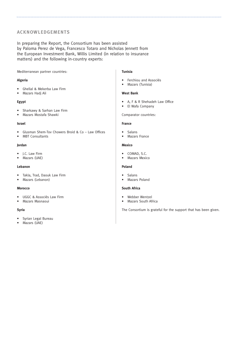# **ACKNOWLEDGEMENTS**

In preparing the Report, the Consortium has been assisted by Paloma Perez de Vega, Francesco Totaro and Nicholas Jennett from the European Investment Bank, Willis Limited (in relation to insurance matters) and the following in-country experts:

Mediterranean partner countries:

#### **Algeria**

- Ghellal & Mekerba Law Firm
- Mazars Hadj Ali

### **Egypt**

- Sharkawy & Sarhan Law Firm
- Mazars Mostafa Shawki

#### **Israel**

- Glusman Shem-Tov Chowers Broid & Co Law Offices
- MBT Consultants

#### **Jordan**

- J.C. Law Firm
- Mazars (UAE)

#### **Lebanon**

- Takla, Trad, Daouk Law Firm
- Mazars (Lebanon)

#### **Morocco**

- UGGC & Associés Law Firm
- Mazars Masnaoui

### **Syria**

- Syrian Legal Bureau
- Mazars (UAE)

#### **Tunisia**

- Ferchiou and Associés
- Mazars (Tunisia)

#### **West Bank**

- A, F & R Shehadeh Law Office
- El Wafa Company

#### Comparator countries:

#### **France**

- Salans
- Mazars France

#### **Mexico**

- COMAD, S.C.
- Mazars Mexico

#### **Poland**

- **Salans**
- Mazars Poland

#### **South Africa**

- Webber Wentzel
- Mazars South Africa

The Consortium is grateful for the support that has been given.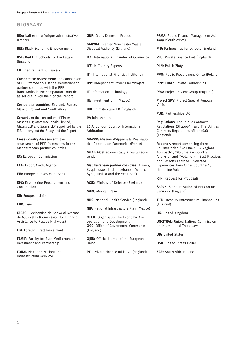## **GLOSSARY**

**BEA:** bail emphytéotique administrative (France)

**BEE:** Black Economic Empowerment

**BSF:** Building Schools for the Future (England)

**CBT:** Central Bank of Tunisia

**Comparative Assessment:** the comparison of PPP frameworks in the Mediterranean partner countries with the PPP frameworks in the comparator countries as set out in Volume 1 of the Report

**Comparator countries:** England, France, Mexico, Poland and South Africa

**Consortium:** the consortium of Pinsent Masons LLP, Mott MacDonald Limited, Mazars LLP and Salans LLP appointed by the EIB to carry out the Study and the Report

**Cross Country Assessment:** the assessment of PPP frameworks in the Mediterranean partner countries

**EC:** European Commission

**ECA:** Export Credit Agency

**EIB:** European Investment Bank

**EPC:** Engineering Procurement and Construction

**EU:** European Union

**EUR:** Euro

**FARAC:** Fideicomiso de Apoyo al Rescate de Autopistas (Commission for Financial Assistance to Rescue Highways)

**FDI:** Foreign Direct Investment

**FEMIP:** Facility for Euro-Mediterranean Investment and Partnership

**FONADIN:** Fondo Nacional de Infraestructura (Mexico)

**GDP:** Gross Domestic Product

**GMWDA:** Greater Manchester Waste Disposal Authority (England)

**ICC:** International Chamber of Commerce

**ICE:** In-Country Experts

**IFI:** International Financial Institution

**IPP:** Independent Power Plant/Project

**IT:** Information Technology

**IU:** Investment Unit (Mexico)

**IUK:** Infrastructure UK (England)

**JV:** Joint venture

**LCIA:** London Court of International Arbitration

**MAPPP:** Mission d'Appui à la Réalisation des Contrats de Partenariat (France)

**MEAT:** Most economically advantageous tender

**Mediterranean partner countries:** Algeria, Egypt, Israel, Jordan, Lebanon, Morocco, Syria, Tunisia and the West Bank

**MOD:** Ministry of Defence (England)

**MXN:** Mexican Peso

**NHS:** National Health Service (England)

**NIP:** National Infrastructure Plan (Mexico)

**OECD:** Organisation for Economic Cooperation and Development **OGC:** Office of Government Commerce (England)

**OJEU:** Official Journal of the European Union

**PFI:** Private Finance Initiative (England)

**PFMA: Public Finance Management Act** 1999 (South Africa)

**PfS:** Partnerships for schools (England)

**PFU:** Private Finance Unit (England)

**PLN:** Polish Zloty

**PPO:** Public Procurement Office (Poland)

**PPP:** Public Private Partnerships

**PRG:** Project Review Group (England)

**Project SPV:** Project Special Purpose Vehicle

**PUK: Partnerships UK** 

**Regulations:** The Public Contracts Regulations (SI 2006/5) and The Utilities Contracts Regulations (SI 2006/6) (England)

**Report:** A report comprising three volumes titled "Volume 1 – A Regional Approach", "Volume 2 – Country Analysis" and "Volume 3 – Best Practices and Lessons Learned – Selected Experiences from Other Countries"; this being Volume 2

**RFP:** Request for Proposals

**SoPC4:** Standardisation of PFI Contracts version 4 (England)

**TIFU:** Treasury Infrastructure Finance Unit (England)

**UK:** United Kingdom

**UNCITRAL:** United Nations Commission on International Trade Law

**US: United States** 

**USD:** United States Dollar

**ZAR:** South African Rand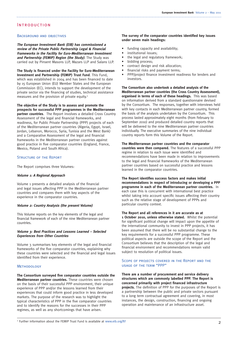## Introduction

## Background and objectives

**The European Investment Bank (EIB) has commissioned a review of the Private Public Partnership Legal & Financial Frameworks in the Facility for Euro-Mediterranean Investment and Partnership (FEMIP) Region (the Study)**. The Study was carried out by Pinsent Masons LLP, Mazars LLP and Salans LLP.

**The Study is financed under the Facility for Euro-Mediterranean Investment and Partnership (FEMIP) Trust Fund**. This Fund, which was established in 2004 and has been financed to date by 15 European Union (EU) Member States and the European Commission (EC), intends to support the development of the private sector via the financing of studies, technical assistance measures and the provision of private equity.<sup>2</sup>

**The objective of the Study is to assess and promote the prospects for successful PPP programmes in the Mediterranean partner countries.** The Report involves a detailed Cross Country Assessment of the legal and financial frameworks, and readiness, for Public Private Partnership (PPP) projects of each of the Mediterranean partner countries (Algeria, Egypt, Israel, Jordan, Lebanon, Morocco, Syria, Tunisia and the West Bank) and a Comparative Assessment of the legal and financial frameworks in the Mediterranean partner countries against good practice in five comparator countries (England, France, Mexico, Poland and South Africa).

#### Structure of the Report

The Report comprises three Volumes:

#### **Volume 1: A Regional Approach**

Volume 1 presents a detailed analysis of the financial and legal issues affecting PPP in the Mediterranean partner countries and compares them with key aspects of the experience in the comparator countries.

#### **Volume 2: Country Analysis (the present Volume)**

This Volume reports on the key elements of the legal and financial framework of each of the nine Mediterranean partner countries.

#### **Volume 3: Best Practices and Lessons Learned – Selected Experiences from Other Countries**

Volume 3 summarises key elements of the legal and financial frameworks of the five comparator countries, explaining why these countries were selected and the financial and legal issues identified from their experience.

### **METHODOLOGY**

**The Consortium surveyed five comparator countries outside the Mediterranean partner countries.** These countries were chosen on the basis of their successful PPP environment, their unique experience of PPP and/or the lessons learned from their experiences that could inform good practice in less developed markets. The purpose of the research was to highlight the typical characteristics of PPP in the five comparator countries and to identify the reasons for the successes in their PPP regimes, as well as any shortcomings that have arisen.

#### **The survey of the comparator countries identified key issues under seven main headings:**

- funding capacity and availability;
- institutional issues;
- the legal and regulatory framework;
- bidding process;
- contract design and risk allocation;
- financial risks and payment terms;
- PPP/project finance investment readiness for lenders and investors.

**The Consortium also undertook a detailed analysis of the Mediterranean partner countries (the Cross Country Assessment), organised in terms of each of these headings.** This was based on information derived from a standard questionnaire devised by the Consortium. The responses, together with interviews held with key contacts in each Mediterranean partner country, formed the basis of the analysis undertaken by the Consortium. This process lasted approximately eight months (from February to September 2010) and produced detailed country reports that will be delivered to the nine Mediterranean partner countries individually. The executive summaries of the nine individual country reports form this Volume of the Report.

**The Mediterranean partner countries and the comparator countries were then compared.** The features of a successful PPP regime in relation to each issue were identified and recommendations have been made in relation to improvements to the legal and financial frameworks of the Mediterranean partner countries based on successful practice and lessons learned in the comparator countries.

**The Report identifies success factors and makes initial recommendations in respect of introducing or developing a PPP programme in each of the Mediterranean partner countries.** In each case this is concurrent with international best practice whilst taking into account specific issues affecting their country such as the relative stage of development of PPPs and particular country context.

**The Report and all references in it are accurate as at 1 October 2010, unless otherwise stated.** Whilst the potential for significant political change will impact upon the appetite of the international community to invest in PPP projects, it has been assumed that there will be no substantial change to the key requirements for a successful PPP programme. These political aspects are outside the scope of the Report and the Consortium believes that the description of the legal and financial environment and recommendations remain valid subject to resolution of political issues.

### Scope of projects covered in the Report and the usage of the term "PPP"

**There are a number of procurement and service delivery structures which are commonly labelled PPP. The Report is concerned primarily with project financed infrastructure projects.** The definition of PPP for the purposes of the Report is a partnership between the public and private sectors pursuant to a long term contractual agreement and covering, in most instances, the design, construction, financing and ongoing operation and maintenance of an infrastructure asset.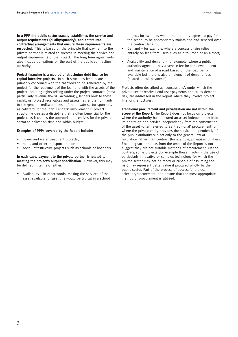**In a PPP the public sector usually establishes the service and output requirements (quality/quantity), and enters into contractual arrangements that ensure these requirements are respected.** This is based on the principle that payment to the private partner is related to success in meeting the service and output requirements of the project. The long term agreements also include obligations on the part of the public contracting authority.

**Project financing is a method of structuring debt finance for capital intensive projects.** In such structures lenders are primarily concerned with the cashflows to be generated by the project for the repayment of the loan and with the assets of the project including rights arising under the project contracts (most particularly revenue flows). Accordingly, lenders look to these cashflows, project receivables and assets, rather than primarily to the general creditworthiness of the private sector sponsors, as collateral for the loan. Lenders' involvement in project structuring creates a discipline that is often beneficial for the project, as it creates the appropriate incentives for the private sector to deliver on time and within budget.

#### **Examples of PPPs covered by the Report include:**

- power and water treatment projects;
- roads and other transport projects;
- social infrastructure projects such as schools or hospitals.

**In each case, payment to the private partner is related to meeting the project's output specification.** However, this may be defined in terms of either:

Availability – in other words, making the services of the asset available for use (this would be typical in a school

project, for example, where the authority agrees to pay for the school to be appropriately maintained and serviced over the contract length);

- Demand for example, where a concessionaire relies entirely on fees from users such as a toll road or an airport; or
- Availability and demand  $-$  for example, where a public authority agrees to pay a service fee for the development and maintenance of a road based on the road being available but there is also an element of demand fees (related to toll payments).

Projects often described as 'concessions', under which the private sector receives end user payments and takes demand risk, are addressed in the Report where they involve project financing structures.

**Traditional procurement and privatisation are not within the scope of the Report.** The Report does not focus on projects where the authority has procured an asset independently from its operation or a service independently from the construction of the asset (often referred to as 'traditional' procurement) or where the private entity provides the service independently of the public authority subject only to the general law or regulation rather than contract (for example, privatised utilities). Excluding such projects from the ambit of the Report is not to suggest they are not suitable methods of procurement. On the contrary, some projects (for example those involving the use of particularly innovative or complex technology for which the private sector may not be ready or capable of assuming the risk) may represent better value if procured wholly by the public sector. Part of the process of successful project selection/procurement is to ensure that the most appropriate method of procurement is utilised.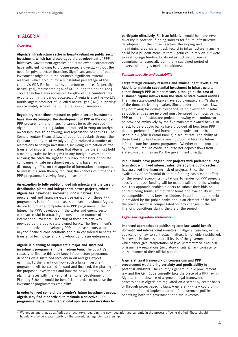# 1. ALGERIA

#### **Overview**

**Algeria's infrastructure sector is heavily reliant on public sector investment, which has discouraged the development of PPP initiatives.** Government agencies and state-owned corporations have sufficient funding to procure projects directly, without the need for private sector financing. Significant amounts of public investment originate in the country's significant mineral reserves, which account for a substantial percentage of the country's GDP. For instance, hydrocarbon resources (especially natural gas), represented 43% of GDP during the period 2005- 2008. They have also accounted for 98% of the country's total exports during the period 2004-2010. Algeria is also the world's fourth largest producer of liquefied natural gas (LNG), supplying approximately 10% of the EU natural gas consumption.

**Regulatory restrictions imposed on private sector investments have also discouraged the development of PPP in the country.** PPP procurement and financing cannot be easily pursued in Algeria due to strict regulations introduced in 2009 on foreign ownership, foreign borrowing, and repatriation of earnings. The Complementary Financial Law of 2009 (particularly through the Ordinance no. 09-01 of 22 July 2009) introduced a number of restrictions to foreign investment, including elimination of free transfer of imports, mandating that Algerian partners must hold a majority stake (at least 51%) in any foreign investment and allowing the State the right to buy back the assets of private companies. Private investment restrictions have had a discouraging effect on the appetite of international companies to invest in Algeria thereby reducing the chances of furthering a PPP programme involving foreign investors.<sup>3</sup>

**An exception to fully public-funded infrastructure is the case of desalination plants and independent power projects, where Algeria has developed successful PPP initiatives.** The procurement and financing expertise gained from these PPP programmes is helpful in at least some sectors, should Algeria decide to further a comprehensive PPP programme in the future. The PPPs developed in the water and energy sector were successful in attracting a considerable number of international investors. Financing of these projects was provided by the public state owned banks. The Government's stated objective in developing PPPs in these sectors went beyond financial considerations and also considered benefits of transfer of technology and know-how by foreign enterprises.

**Algeria is planning to implement a major and sustained investment programme in the medium term.** The country's capacity to finance this very large infrastructure programme depends on a sustained recovery in oil and gas export earnings. Further clarity on how such a large investment programme will be carried forward and financed, the phasing of the proposed investments and how the new USD 286 billion plan interfaces with the National Territorial Development Planning Scheme would be beneficial in order to increase the investment programme's credibility.

**In order to meet some of the country's future investment needs, Algeria may find it beneficial to maintain a selective PPP programme that allows international sponsors and investors to**

**participate effectively.** Such an initiative would help preserve diversity in potential funding sources for future infrastructure development in the chosen sectors. Developing and maintaining a consistent track record in infrastructure financing could be a prudent measure that Algeria could rely on if it were to seek foreign funding for its infrastructure procurement commitments (especially during any sustained period of adverse oil and gas market conditions).

#### **Funding capacity and availability**

**Large foreign currency reserves and minimal debt levels allow Algeria to maintain substantial investment in infrastructure, either through PPP or other means, although at the cost of sustained capital inflows from the state or state owned entities.** The main state-owned banks have approximately a 93% share of the domestic lending market. Since, under the present law, any borrowing for domestic expenditure or investment insofar as public entities are involved must be raised from local banks, PPP or other infrastructure project borrowing will continue to be provided exclusively by the five main state-owned banks. In effect, to date public banks have provided all long term PPP debt at preferential fixed interest rates equivalent to the Banque d'Algérie (Central Bank's) discount rate. The ability of these banks to fund even a small portion of Algeria's future infrastructure investment programme (whether or not procured by PPP) will require continued large net deposit flows from state-owned entities and/or the government directly.

**Public banks have provided PPP projects with preferential longterm debt with fixed interest rates, thereby the public sector has assumed the financing risk of projects.** Since the availability of preferential fixed rate funding has a major effect on the project economics, invitations to tender for PPP projects specify that such funding will be made available to the winning bid. This approach enables bidders to submit their bids on equal funding terms, so that debt terms and availability will not be competitive items between bidders. In addition, as the debt is provided by the public banks and is an element of the bid, the private sector is compensated for any changes in the financing conditions during the life of the project.

#### **Legal and regulatory framework**

**Improved approaches to publishing case law would benefit domestic and international investors.** In Algeria, case law, or the application of law to contractual matters, is not widely published. Moreover, circulars issued at all levels of the government and which either give interpretation of laws (interpretative circulars) or issue new regulations (regulatory circulars), lack consistency in the manner of their official publication.

**A general legal framework on concessions and PPP procurement would bring certainty and predictability to potential investors.** The country's general public procurement law and the Civil Code currently take the place of a PPP law in Algeria. In the absence of a general legal framework, concessions in Algeria are regulated on a sector by sector basis or through project-specific laws. A general PPP law could bring a more uniformed implementation of procurement policies, benefiting both the government and the investors.

<sup>3</sup> We understand that, as at April 2011, legal texts regarding the new regulation are currently in the process of being drafted. These should hopefully provide greater clarity on the procedures regarding partnership.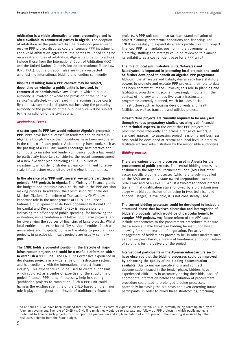**Arbitration is a viable alternative to court proceedings and is often available to commercial parties in Algeria.** The adoption of arbitration as the preferred dispute resolution procedure to resolve PPP project disputes could encourage PPP investment. For a valid arbitration agreement, the parties will need to agree on a seat and rules of arbitration. Algerian arbitration practices include those from the International Court of Arbitration (ICC) and the United Nations Commission on International Trade Law (UNCITRAL). Both arbitration rules are widely respected amongst the international bidding and lending community.

**Disputes resulting from a PPP contract may be subject, depending on whether a public entity is involved, to commercial or administrative law.** Cases in which a public authority is involved or where the provision of the "public service" is affected, will be heard in the administrative courts. By contrast, commercial disputes not involving the procuring authority or the provision of the public service will be subject to the jurisdiction of the civil courts.

#### **Institutional issues**

**A sector specific PPP law would enhance Algeria's prospects in PPP.** PPPs have been successfully tendered and delivered in Algeria, although the contract conditions have been negotiated in the context of each project. A clear policy framework, such as the passing of a PPP law, would encourage best practice and contribute to investor and lender confidence. Such a law would be particularly important considering the recent announcement of a new five year plan heralding USD 286 billion of investment, which demonstrates a clear commitment to largescale infrastructure expenditure by the Algerian authorities.

**In the absence of a 'PPP unit', several key actors participate in potential PPP projects in Algeria.** The Ministry of Finance grants the budgets and therefore has a crucial role in the PPP decision making process. In addition, the Commission Nationale des Marchés (National Committee of Transactions, CNM) plays an important role in the management of PPPs. The Caisse Nationale d'Equipement et de Développement (National Fund for Capital and Development) (CNED) is responsible for: increasing the efficiency of public spending; for improving the evaluation, implementation and follow up of large projects; and for diversifying the sources of financing of large projects. Whilst local entities and sector based "by services" entities (such as universities and hospitals) do have the ability to procure major projects, in practice significant projects are usually centrally procured.

**The CNDE holds a powerful position in the lifecycle of major infrastructure projects and could be a useful platform on which to establish a 'PPP unit'.** The CNED has extensive experience in developing projects in a wide range of infrastructure sectors, and has credibility with the international project finance industry. This experience could be used to create a PPP Unit which could act as a centre of expertise for the structuring of project financed PPPs and, if necessary, help in steering 'pathfinder' projects to completion. Such a PPP unit could harness the existing strengths of the CNED based on the major role it plays throughout the lifecycle of traditionally financed

projects. A PPP unit could also facilitate standardisation of project planning, contractual conditions and financing. For CNED successfully to expand its already prolific role into project financed PPP, its mandate, position in the governmental hierarchy, staffing and strategy could be reviewed to examine its suitability as a cost-efficient base for a PPP unit.4

#### **The role of local administrative units, Wilayates and Baladiyates, is important in promoting local projects and could be further developed to benefit an Algerian PPP programme.** Although the Wilayates and Baladiyates already have statutory powers to promote and execute PPP projects, their role to date has been somewhat limited. However, this role in planning and facilitating projects will become increasingly important in the context of the very ambitious five year infrastructure programme currently planned, which includes social infrastructure such as housing developments and health facilities as well as transport and utilities projects.

**Infrastructure projects are currently required to be analysed through various preparatory studies, covering both financial and technical aspects.** In the event that PPP projects are procured more frequently and across a range of sectors, a standard approach to assessing project feasibility and business case could be developed at central and local level in order to facilitate efficient administration by the responsible authorities.

#### **Bidding process**

**There are various bidding processes used in Algeria for the procurement of public projects.** The central bidding process is enshrined in the Algerian Procurement Code (APC) but other sector specific bidding processes (which are largely modelled on the APC) are used by state-owned corporations such as SONELGAZ and SONATRACH. Whilst a two-stage tender process (i.e. an initial qualification stage followed by a bid submission stage with bid submission often being in two, technical and financial, stages) is available, it is not consistently used.

**The current bidding processes could be developed to include a structured phase that involves discussion and interrogation of bidders' proposals, which would be of particular benefit to complex PPP projects.** Any future reform of the APC could include amendments to the procurement procedures to ensure that a more suitable two-stage bidding be institutionalised, allowing for some measure of negotiation. Pro-active engagement of bidders has proven to be, in other markets such as the European Union, a means of fine-tuning and optimisation of solutions for the delivery of the project.

**International participants in the Algerian infrastructure sector have observed that the bidding processes could be improved by enhancing the quality of the bidding documentation available.** Due to unclear specifications and contract documentation issued in the tender phase, bidders have experienced difficulties in accurately pricing their bids. Lack of appropriate information before the initiation of procurement procedure could lead to prolonged bidding processes, potentially increasing the bid costs and even deterring future participants. In order to avoid these shortcoming, procuring

<sup>4</sup> As at April 2011, we have been informed that the creation of a centre of expertise on PPP within CNED is currently being contemplated by the Algerian government. The role of CNED vis-à-vis line ministries would be to evaluate and follow up PPP projects in which public money is mobilised to finance such projects, or to support the preparation and implementation of a PPP project if the financing is ensured by other resources different from the State budget.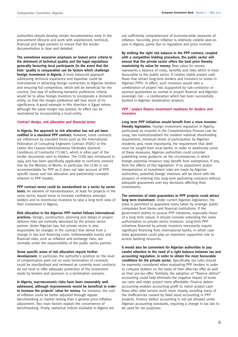authorities should develop tender documentation early in the procurement lifecycle and work with experienced, technical, financial and legal advisers to ensure that the tender documentation is clear and detailed.

**The sometimes excessive emphasis on lowest price criteria to the detriment of technical quality and the legal regulations generally favouring local participants (in the event that the bids' quality is comparable) can be factors which challenge foreign investment in Algeria.** A more balanced approach addressing technical experience and expertise could be instrumental in attracting foreign contractors to Algerian tenders and ensuring full competition, which will be beneficial for the country. One way of softening domestic preference criteria would be to allow foreign investors to incorporate a domestic entity, so that the margin preference will lose much of its significance. A good example in this direction is Egypt where, although the same margin has existed, its effect can be neutralised by incorporating a local entity.

#### **Contract design, risk allocation and financial terms**

**In Algeria, the approach to risk allocation has not yet been codified in a standard PPP contract.** However, some contracts are influenced by standard forms such as the International Federation of Consulting Engineers Contract (FIDIC) or the Cahier des Clauses Administratives Générales (General Conditions of Contracts) ('CCAG'), which is often part of the tender documents sent to bidders. The CCAG was introduced in 1964 and has been specifically applicable to contracts entered into by the Ministry of Works. In particular, the CCAG is not recommendable for PPP as it does not take account of PPP specific issues and risk allocation and partnership concepts inherent in PPP models.

**PPP contract terms could be standardised on a sector by sector basis.** An element of standardisation, at least for projects in the same sector, would serve to increase confidence amongst bidders and to incentivise investors to take a long term view of their investment in Algeria.

**Risk allocation in the Algerian PPP market follows international practices.** Design, construction, planning and delays in project delivery risks are normally absorbed by the private sector partner. Under Algerian law, the private sector is also responsible for changes in the contract that derive from a change in law and financing costs. Unforeseeable events and financial risks, such as inflation and exchange risks, are normally under the responsibility of the public sector partner.

#### **Some specific areas of risk allocation require further**

**development.** In particular, the authority's position on the level of compensation paid out on early termination of contracts could be standardised and reviewed as currently most contracts do not tend to offer adequate protection of the investment made by lenders and sponsors in a termination scenario.

**In Algeria, macroeconomic risks have been reasonably well addressed, although improvements would be beneficial in order to increase the projects' value for money.** For instance, the cost of inflation could be better adjusted through regular benchmarking or market testing than a general price inflation adjustment. Two main factors explain the convenience of benchmarking. Firstly, statistical indices available in Algeria are

not sufficiently comprehensive of economy-wide measures of inflation. Secondly, price inflation is relatively volatile year-onyear in Algeria, partly due to regulation and price controls.

**By striking the right risk balance in the PPP contract, coupled with a competitive bidding procedure, the public sector will ensure that the private sector offers the best price thereby maximising its value for money.** Best value for money represents a balance of costs, benefits and risks which is most favourable to the public sector. It creates stable project cash flows that attract long-term lenders and investors to invest in Algerian PPPs. In effect, such investors would take a combination of project risk (supported by sub-contractor or sponsor guarantees as normal in project finance) and Algerian sovereign risk – a combination which has been successfully banked in Algerian desalination projects.

#### **PPP / project finance investment readiness for lenders and investors**

**Long term PPP initiatives would benefit from a more investorfriendly legislation.** Foreign investment regulation in Algeria, particularly as enacted in the Complementary Finance Law for 2009, has institutionalised the resident national shareholding requirement, minimum levels of participation by Algerian residents and, more importantly, the requirement that debt must be sought from local banks. In order to ameliorate some of these measures, Algerian authorities could consider publishing some guidance on the circumstances in which foreign potential investors may benefit from exemptions, if any, from the effects of this legislation. If no adjustment and/or interpretation of investment rules are made by Algerian authorities, potential foreign investors will be faced with the prospect of entering into long-term partnering contracts without adequate guarantees over key decisions affecting their investments.

**The extension of state guarantees to PPP projects could attract long term investment.** Under current Algerian legislation, the state is permitted to guarantee loans taken by strategic public companies from banks and financial institutions. If the government wishes to pursue PPP initiatives, especially those of a long term nature, it should consider extending the same authorisation to private sector investors. Long-term PPP initiatives financed by private investors necessarily require significant financing from international banks, in which case state guarantees could play an important supportive role to access banking resources.

**It would also be convenient for Algerian authorities to pay careful attention to the need of a right balance between tax and accounting regulation, in order to obtain the most favourable conditions for the private sector.** Specifically, tax rules should be expressly considered when evaluating PPP tenders in order to compare bidders on the basis of their after-tax offer as well as their pre-tax offer. Similarly, the adoption of "finance debtor" accounting could help eliminate the negative impact of some tax rules and make project more affordable. Finance debtor accounting enables accounting profit to match project cash flows after debt service much more closely, avoiding many of the inefficiencies caused by fixed asset accounting in PPP projects. Finance debtor accounting is not yet allowed under Algerian accounting standards, requiring a change in tax law to be used for tax purposes.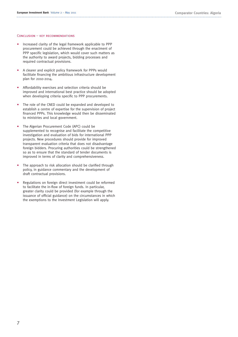#### Conclusion – key recommendations

- Increased clarity of the legal framework applicable to PPP procurement could be achieved through the enactment of PPP specific legislation, which would cover such matters as the authority to award projects, bidding processes and required contractual provisions.
- A clearer and explicit policy framework for PPPs would facilitate financing the ambitious infrastructure development plan for 2010-2014.
- Affordability exercises and selection criteria should be improved and international best practice should be adopted when developing criteria specific to PPP procurements.
- The role of the CNED could be expanded and developed to establish a centre of expertise for the supervision of project financed PPPs. This knowledge would then be disseminated to ministries and local government.
- The Algerian Procurement Code (APC) could be supplemented to recognise and facilitate the competitive investigation and evaluation of bids for international PPP projects. New procedures should provide for improved transparent evaluation criteria that does not disadvantage foreign bidders. Procuring authorities could be strengthened so as to ensure that the standard of tender documents is improved in terms of clarity and comprehensiveness.
- The approach to risk allocation should be clarified through policy, in guidance commentary and the development of draft contractual provisions.
- Regulations on foreign direct investment could be reformed to facilitate the in-flow of foreign funds. In particular, greater clarity could be provided (for example through the issuance of official guidance) on the circumstances in which the exemptions to the Investment Legislation will apply.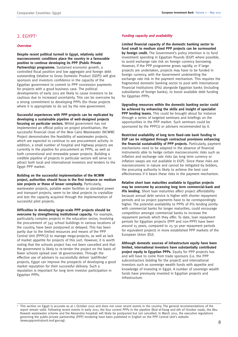# 2. EGYPT<sup>5</sup>

#### **Overview**

**Despite recent political turmoil in Egypt, relatively solid macroeconomic conditions place the country in a favourable position to continue developing its PPP (Public Private Partnership) programme.** Sustained economic growth, a controlled fiscal position and low aggregate and foreign debt outstanding (relative to Gross Domestic Product (GDP)) will give sponsors and investors confidence in the capacity of the Egyptian government to commit to PPP concession payments for projects with a good business case. The political developments of early 2011 are likely to cause investors to be cautious due to increased uncertainty. This can be overcome by a strong commitment to developing PPPs (for those projects where it is appropriate to do so) by the new government.

**Successful experiences with PPP projects can be replicated by developing a sustainable pipeline of well-designed projects focusing on particular sectors.** Whilst government has not implemented an official policy on project prioritisation, the successful financial close of the New Cairo Wastewater (NCWW) Project demonstrates the feasibility of wastewater projects, which are expected to continue to see procurement activity. In addition, a small number of hospital and highway projects are currently in the pipeline for procurement as PPPs, as well as both conventional and renewable power projects. Building a credible pipeline of projects in particular sectors will serve to attract both local and international investors and lenders to the Egypt PPP market.

**Building on the successful implementation of the NCWW project, authorities should focus in the first instance on medium size projects or those of lesser complexity.** Particularly, wastewater projects, potable water facilities or standard power and transport projects, seem to be ideal projects to crystallize and test the capacity acquired through the implementation of successful pilot projects.

**Difficulties in developing large-scale PPP projects should be overcome by strengthening institutional capacity.** For example, particularly complex projects in the education sector, involving the procurement of 345 school buildings in various locations of the country, have been postponed or delayed. This has been partly due to the limited resources and means of the PPP Central Unit (PPPCU) to manage mega-projects, as well as lack of market appetite for projects of this sort. However, it is worth noting that the schools project has not been cancelled and that the government is likely to re-tender the project on the basis of fewer schools spread over 18 governorates. Through the effective use of advisers to successfully deliver 'pathfinder' projects, Egypt can improve the prospects of developing a good market reputation for their successful delivery. Such a reputation is important for long term investor participation in Egyptian PPPs.

#### **Funding capacity and availability**

**Limited financial capacity of the domestic banking sector to fund small to medium sized PPP projects can be surmounted by foreign credit.** The Government's policy intention is to fund investment spending in Egyptian Pounds (EGP) where possible, to avoid exchange rate risk on foreign currency borrowing. However, if the PPP programme grows rapidly, or if large projects are undertaken, projects may have to be funded in foreign currency, with the Government underwriting the exchange rate risk in the payment mechanism. This requires the fragmented domestic banking sector to pool with International Financial Institutions (IFIs) alongside Egyptian banks (including subsidiaries of foreign banks), to boost available debt funding for Egyptian PPPs.

**Upgrading resources within the domestic banking sector could be achieved by enhancing the skills and insight of specialist PPP lending teams.** This could be brought about for instance through a series of targeted seminars and briefings on the opportunities in the PPP market. Such seminars could be sponsored by the PPPCU or advisers recommended by it.

**Restricted availability of long term fixed-rate bank funding in EGP can be mitigated through contractual provisions enhancing the financial sustainability of PPP projects.** Particularly, payment mechanisms need to be adapted in the absence of financial instruments able to hedge certain macroeconomic risks such as inflation and exchange rate risks (as long term currency or inflation swaps are not available in EGP). Since these risks are macroeconomic in nature and cannot be mitigated by bidders, the procuring authority is likely to achieve the best cost effectiveness if it bears these risks in the payment mechanism.

**Relative short loan maturities available to Egyptian projects may be overcome by accessing long term commercial-bank and IFIs lending.** Short loan maturities affect project affordability because annual debt service is higher with shorter repayment periods and so project payments have to be correspondingly higher. The potential availability to PPPs of IFIs lending jointly with commercial banks for longer maturities, could encourage competition amongst commercial banks to increase the repayment periods which they offer. To date, loan repayment periods for Egyptian projects (PPP and non-PPP) have been around 15 years, compared to 25-30 year repayment periods for equivalent projects in more established PPP markets of the European Union (EU).

**Although domestic sources of infrastructure equity have been limited, international investors have substantially contributed project equity to Egyptian PPPs.** Equity for PPP projects has and will have to come from trade sponsors (i.e. the PPP subcontractors bidding for the project) and international investors such as sovereign wealth funds with appetite and knowledge of investing in Egypt. A number of sovereign wealth funds have previously invested in Egyptian projects and infrastructure.

This section on Egypt is accurate as at 1 October 2010 and does not cover recent events in the country. The general recommendations of the report remain valid. Following recent events in early 2011, the four current PPPs in the pipeline (Rod el-Farag and 6th of October roads, the Abu Rawash wastewater scheme and the Alexandria hospital) will likely be postponed but not cancelled. In March 2011, the executive regulations governing the public-private partnership (PPP) tendering have been published in English on the PPP Central Unit's website (www.pppcentralunit.mof.gov.eg).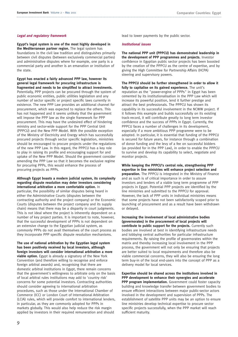#### **Legal and regulatory framework**

**Egypt's legal system is one of the most highly developed in the Mediterranean partner region.** The legal system has foundations in the civil law tradition and distinguishes primarily between civil disputes (between exclusively commercial parties) and administrative disputes where for example, one party is a commercial party and another is an emanation or institution of the state.

**Egypt has enacted a fairly advanced PPP law, however its general legal framework for procuring infrastructure is fragmented and needs to be simplified to attract investments.** Potentially, PPP projects can be procured through the system of public economic entities, public utilities legislation and any number of sector specific or project specific laws currently in existence. The new PPP Law provides an additional channel for procurement, which was expected to replace the others. This has not happened and it seems unlikely that the government will impose the PPP law as the single framework for PPP procurement. This may have the undesired effect of hindering ministry and sector-wide support for the PPP Central Unit (PPPCU) and the New PPP Model. With the possible exception of the Ministry of Electricity and Energy which has successfully procured projects through sector specific legislation, ministries should be encouraged to procure projects under the regulations of the new PPP Law. In this regard, the PPPCU has a key role to play in raising its profile and encouraging support for and uptake of the New PPP Model. Should the government consider amending the PPP Law so that it becomes the exclusive regime for procuring PPPs, this would enhance the process of procuring projects as PPPs.

**Although Egypt boasts a modern judicial system, its complexity regarding dispute resolution may deter investors considering international arbitration a more comfortable option.** In particular, the possibility of similar disputes being heard in either the Administrative Courts (disputes between the contracting authority and the project company) or the Economic Courts (disputes between the project company and its supply chain) means that there may be a disparity in court judgments. This is not ideal where the project is inherently dependent on a number of key project parties. It is important to note, however, that the successful development of PPPs is not dependent on an extensive change to the Egyptian judicial system, as commonly PPPs do not avail themselves of the court process as they incorporate PPP specific dispute resolution mechanisms.

**The use of national arbitration by the Egyptian legal system has been positively received by local investors, although foreign investors will consider international arbitration a more viable option.** Egypt is already a signatory of the New York Convention (and therefore willing to recognise and enforce foreign arbitral awards) and, recognising that there are domestic arbitral institutions in Egypt, there remain concerns that the government's willingness to arbitrate only on the basis of local arbitral rules institutions may add to 'country risk' concerns for some potential investors. Contracting authorities should consider agreeing to international arbitration procedures, such as those under the International Chamber of Commerce (ICC) or London Court of International Arbitration (LCIA) rules, which will provide comfort to international lenders, in particular, as they are commonly adopted for PPPs in markets globally. This would also help reduce the risk margin applied by investors in their required remuneration and should

lead to lower payments by the public sector.

#### **Institutional issues**

**The national PPP unit (PPPCU) has demonstrated leadership in the development of PPP programmes and projects.** Investor confidence in Egyptian public sector projects has been boosted by the creation of the PPPCU as the centre of expertise, and by giving the High Committee for Partnership Affairs (HCPA) steering and supervisory powers.

**The PPPCU should be further strengthened in order to allow it fully to capitalise on its gained experience.** The unit's reputation as the "power-engine of PPPs" in Egypt has been cemented by its institutionalisation in the PPP Law which will increase its powerful position, lend it further prestige and attract the best professionals. The PPPCU has shown its capability in its successful involvement in the NCWW project. If it follows this example and builds successfully on its existing track-record, it will contribute greatly to long term investor confidence and the success of PPPs in Egypt. Currently, the PPPCU faces a number of challenges in its development, especially if a more ambitious PPP programme were to be adopted. In particular, it is essential that funding of the PPPCU is secured for future years, for instance through a combination of donor funding and the levy of a fee on successful bidders (as provided for in the PPP Law), in order to enable the PPPCU to survive and develop its capability to select, negotiate and monitor projects.

**While keeping the PPPCU's central role, strengthening PPP expertise in line ministries will enhance project selection and preparation.** The PPPCU is integrated in the Ministry of Finance and as such is of critical importance in order to assure investors and lenders of a viable long term programme of PPP projects in Egypt. Potential PPP projects are identified by the line ministries and submitted to the PPPCU for approval. However, the lack of PPP units in individual ministries means that some projects have not been satisfactorily scoped prior to launching of procurement and as a result have been withdrawn or delayed.

**Increasing the involvement of local administrative bodies (governorates) in the procurement of local projects will contribute to public support for the projects.** Currently such bodies are involved at best in identifying infrastructure needs and lobbying central authorities for particular infrastructure requirements. By raising the profile of governorates within the matrix and thereby increasing local involvement in the PPP process, the government will not only be ensuring that projects are better suited to local requirements and therefore also be viable commercial concerns, they will also be ensuring the long term buy-in of the local end-users into the concept of PPP as a delivery model for local services.

**Expertise should be shared across the institutions involved in PPP development to enhance their synergies and accelerate PPP program implementation.** Government could foster capacity building and knowledge transfer between government bodies to ensure efficient interactions between major public-sector actors involved in the development and supervision of PPPs. The establishment of satellite PPP units may be an option to ensure line ministries develop technical expertise to procure sector specific projects successfully, when the PPP market will reach sufficient maturity.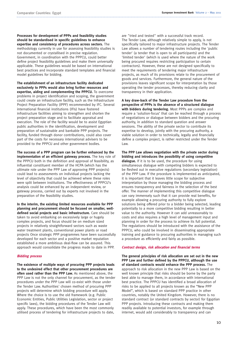**Processes for development of PPPs and feasibility studies should be standardised in specific guidelines to enhance expertise and consistency of procedures across sectors.** The methodology currently in use for assessing feasibility studies is not documented or crystallised in precise regulation. Government, in coordination with the PPPCU, could better define project feasibility guidelines and make them universally applicable. These guidelines would be based on international best practices and incorporate standard templates and financial model guidelines for bidding.

**The establishment of an infrastructure facility dedicated exclusively to PPPs would also bring further resources and expertise, aiding and complementing the PPPCU.** To overcome problems in project identification and scoping, the government could create an infrastructure facility, such as the Infrastructure Project Preparation Facility (IPPF) recommended by IFC. Several international financial institutions (IFIs) have fostered infrastructure facilities aiming to strengthen and shorten the project preparation stage and to facilitate appraisal and execution. The role of the facility would be to assist Egyptian public authorities in the identification, development and preparation of sustainable and bankable PPP projects. The facility, funded through donor contributions, could also cover part of the costs for necessary international advisers to be provided to the PPPCU and other government bodies.

**The success of a PPP program can be further enhanced by the implementation of an efficient gateway process.** The key role of the PPPCU both in the definition and approval of feasibility, as influential constituent member of the HCPA (which has the ultimate role under the PPP Law of approving PPP projects) could lead to assessments on individual projects lacking the level of objectivity that could be achieved where these roles were split between institutions. The effectiveness of PPPCU's analysis could be enhanced by an independent review, or gateway process, carried out by experts not involved in the preparation of the feasibility studies.

**In the interim, the existing limited resources available for PPP planning and procurement should be focused on smaller, welldefined social projects and basic infrastructure.** Care should be taken to avoid embarking on excessively large or hugely complex projects, and focus should be on medium sized projects in relatively straightforward sectors such as waste water treatment plants, conventional power plants or road projects Once strategic PPP programmes have been successfully developed for each sector and a positive market reputation established a more ambitious deal-flow can be assured. This approach would consolidate the progress made to date in PPP.

#### **Bidding process**

**The existence of multiple ways of procuring PPP projects leads to the undesired effect that other procurement procedures are often used rather than the PPP Law.** As mentioned above, the PPP Law is not the only channel for procurement, as the tender procedures under the PPP Law will co-exist with those under the Tender Law. Authorities' chosen method of procuring PPP projects will determine which bidding procedure will apply. Where the choice is to use the old framework (e.g. Public Economic Entities, Public Utilities Legislation, sector or project specific laws), the bidding procedures of the Tender Law will apply. These procedures, which have been the most commonly utilised process of tendering for infrastructure projects to date,

are "tried and tested" with a successful track record. The Tender Law, although relatively simple to apply, is not specifically tailored to major infrastructure projects. The Tender Law allows a number of tendering routes including the 'public tender' (a tender that is open to all participants) and the 'limited tender' (which is used where the nature of the work being procured requires restricting participation to certain contractors). However, these are not designed specifically to meet the requirements of tendering major infrastructure projects, as much of its provisions relate to the procurement of goods and services. Furthermore, the general nature of the provisions leaves significant scope for interpretation by those operating the tender processes, thereby reducing clarity and transparency in their application.

**A key draw-back of the Tender Law procedure from the perspective of PPPs is the absence of a structured dialogue with bidders during tendering.** Most PPPs are complex and require a 'solution-focus' that can be reached through a process of negotiations or dialogue between bidders and the procuring authority, in addition to standard question and answer sessions. The ability of the private sector to contribute its expertise to develop, jointly with the procuring authority, a viable solution in order to technically, legally and financially define a complex project, is rather restricted under the Tender Law.

**The PPP Law allows negotiation with the private sector during bidding and introduces the possibility of using competitive dialogue.** If it is to be used, the procedure for using simultaneous dialogue with competing bidders is expected to be fleshed out in executive regulations (secondary legislation) of the PPP Law. If the procedure is implemented as anticipated, it is important that it leaves little scope for subjective interpretation by those managing the bidding process and ensures transparency and fairness in the selection of the best offer. The manner of implementing this competitive dialogue can vary immensely such that it can provide real benefits, for example allowing a procuring authority to fully explore solutions being offered prior to a bidder being selected, leading potentially to a more competitive bidding resulting in better value to the authority. However it can add unreasonably to costs and also requires a high level of management input and planning in order for the process to achieve its full potential. The regulations should be introduced with the assistance of the PPPCU, who could be involved in disseminating appropriate training and guidance to procuring authorities in managing such a procedure as efficiently and fairly as possible.

#### **Contract design, risk allocation and financial terms**

**The general principles of risk allocation are set out in the new PPP Law and further defined by the PPPCU, although the use of standard contracts would enhance the PPP process.** The approach to risk allocation in the new PPP Law is based on the well known principle that risks should be borne by the party best able to manage them, in accordance with international best practice. The PPPCU has identified a broad allocation of risks to be applied to all projects known as the "New PPP Model", which is based on standard PPP practice in other countries, notably the United Kingdom. However, there is no standard contract (or standard contracts by sector) for Egyptian PPP projects. Introducing these contracts and making them readily available to potential investors, for example through internet, would add considerably to transparency and can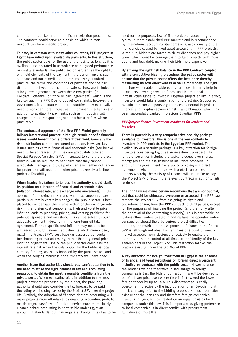contribute to quicker and more efficient selection procedures. The contracts would serve as a basis on which to start negotiations for a specific project.

**To date, in common with many other countries, PPP projects in Egypt have relied upon availability payments.** In this structure, the public sector pays for the use of the facility as long as it is available and operated in accordance with agreed performance or quality standards. The public sector partner has the right to withhold elements of the payment if the performance is substandard and not remediated in time. Following standard practice, the terms and conditions of payment and the risk distribution between public and private sectors, are included in a long term agreement between these two parties (the PPP Contract, "off-take" or "take or pay" agreement), which is the key contract in a PPP. Due to budget constraints, however, the government, in common with other countries, may eventually need to consider more innovative PPP payment mechanisms in addition to availability payments, such as introducing toll charges in road transport projects or other user fees where practicable.

**The contractual approach of the New PPP Model generally follows international practice, although certain specific financial issues would benefit from a different treatment.** Generally the risk distribution can be considered adequate. However, key issues such as certain financial and economic risks (see below) need to be addressed. Until they are adequately covered, Special Purpose Vehicles (SPVs) – created to carry the project forward- will be required to bear risks that they cannot adequately manage, and thus participants will either not tender for projects or will require a higher price, adversely affecting project affordability.

**When issuing invitations to tender, the authority should clarify its position on allocation of financial and economic risks (inflation, interest rate, and exchange rate movements).** In the absence of a hedging market and where exchange rates are partially or totally centrally managed, the public sector is best placed to compensate the private sector for the exchange rate risk in the foreign cost components. High and volatile price inflation leads to planning, pricing, and costing problems for potential sponsors and investors. This can be solved through adequate payment indexation in the long term off-take agreement. Further, specific cost inflation may need to be addressed through payment adjustments which more closely match the Project SPV's cost base (as assessed by regular benchmarking or market testing) rather than a general price inflation adjustment. Finally, the public sector could assume interest rate risk when the only option for the bidder is local currency funding, as this is imposed by the public sector, and when the hedging market is not sufficiently well developed.

**Another issue that authorities should pay careful attention to is the need to strike the right balance in tax and accounting regulation, to obtain the most favourable conditions from the private sector.** When evaluating bids, in addition to the gross project payments proposed by the bidder, the procuring authority should also consider the tax forecast to be paid (including withholding taxes) by the Project SPV over the project life. Similarly, the adoption of "finance debtor" accounting will make projects more affordable, by enabling accounting profit to match project cashflows after debt service much more closely. Finance debtor accounting is permissible under Egyptian accounting standards, but may require a change in tax law to be

used for tax purposes. Use of finance debtor accounting is typical in more established PPP markets and is recommended by international accounting standards as it avoids many of the inefficiencies caused by fixed asset accounting in PPP projects. Without it, bidders are forced to delay dividends and pay higher taxes, which would encourage them to fund projects with more equity and less debt, making their bids more expensive.

**By striking the right risk balance in the PPP Contract, coupled with a competitive bidding procedure, the public sector will ensure that the private sector offers the best price thereby maximizing its cost effectiveness or value for money.** The right structure will enable a stable equity cashflow that may help to attract IFIs, sovereign wealth funds, and international infrastructure funds to invest in Egyptian project equity. In effect, investors would take a combination of project risk (supported by subcontractor or sponsor guarantees as normal in project finance) and Egyptian sovereign risk – a combination which has been successfully banked in previous Egyptian PPPs.

#### **PPP/project finance investment readiness for lenders and investors**

**There is potentially a very comprehensive security package available to investors. This is one of the key comforts to investors in PPP projects in the Egyptian PPP market.** The availability of a security package is a key attraction for foreign investors considering Egypt as an investment prospect. The range of securities includes the typical pledges over shares, mortgages and the assignment of insurance proceeds. In addition, the government has a policy of co-signing direct agreements where appropriate with project companies and lenders whereby the Ministry of Finance will undertake to pay the Project SPV directly if the relevant contracting authority fails to do so.

**The PPP Law maintains certain restrictions that are not optimal, but that could be ultimately overcome or accepted.** The PPP Law restricts the Project SPV from assigning its rights and obligations arising from the PPP contract to third parties, except for the purposes of financing the project (and then only after the approval of the contracting authority). This is acceptable, as it does allow lenders to step-in and replace the operator and/or constructor, should there be serious project difficulties. In addition, the restriction on assignments of shares in the Project SPV is, although not ideal from an investor's point of view, a market-accepted norm designed effectively to enable the authority to retain control at all times of the identity of the key shareholders in the Project SPV. This restriction follows the practice existing under the Old Model PPP.

**A key attraction for foreign investment in Egypt is the absence of financial and legal restrictions on foreign direct investment, including on contracts with the public sector.** However, under the Tender Law, one theoretical disadvantage to foreign companies is that the bids of domestic firms will be deemed to be of a lower price even where they in fact exceed the lowest foreign tender by up to 15%. This disadvantage is easily overcome in practice by the incorporation of an Egyptian joint stock company prior to the bidding process. No such restrictions exist under the PPP Law and therefore foreign companies investing in Egypt will be treated on an equal basis as local companies under this law. This is important as giving preference to local companies is in direct conflict with procurement guidelines of most IFIs.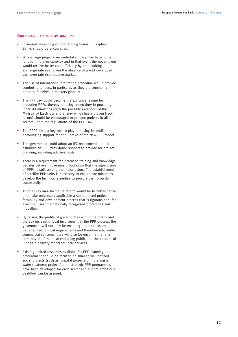#### Conclusion – key recommendations

- Increased resourcing of PPP lending teams in Egyptian Banks should be encouraged.
- Where large projects are undertaken they may have to be funded in foreign currency and in that event the government would receive better cost efficiency by underwriting exchange rate risk, given the absence of a well developed exchange rate risk hedging market.
- The use of international arbitration procedure would provide comfort to lenders, in particular, as they are commonly adopted for PPPs in markets globally.
- The PPP Law could become the exclusive regime for procuring PPPs, thereby reducing uncertainty in procuring PPPs. All ministries (with the possible exception of the Ministry of Electricity and Energy which has a proven track record) should be encouraged to procure projects in all sectors under the regulations of the PPP Law.
- The PPPCU has a key role to play in raising its profile and encouraging support for and uptake of the New PPP Model.
- The government could adopt an IFC recommendation to establish an IPPF with donor support to provide for project planning, including advisers costs.
- There is a requirement for increased training and knowledge transfer between government bodies so that the supervision of PPPs is split among the major actors. The establishment of satellite PPP units is necessary to ensure line ministries develop the technical expertise to procure their projects successfully.
- Another key area for future reform would be to better define and make universally applicable a standardised project feasibility and development process that is rigorous and, for example, uses internationally recognised procedures and modelling.
- By raising the profile of governorates within the matrix and thereby increasing local involvement in the PPP process, the government will not only be ensuring that projects are better suited to local requirements and therefore also viable commercial concerns, they will also be ensuring the long term buy-in of the local end-using public into the concept of PPP as a delivery model for local services.
- Existing limited resources available for PPP planning and procurement should be focused on smaller, well-defined social projects (such as hospital projects or more waste water treatment projects) until strategic PPP programmes have been developed for each sector and a more ambitious deal-flow can be assured.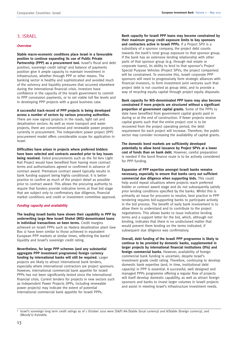# 3. ISRAEL

#### **Overview**

**Stable macro-economic conditions place Israel in a favourable position to continue expanding its use of Public Private** Partnership (PPP) as a procurement tool. Israel's fiscal and debt position, sovereign credit rating<sup>6</sup> and balance of payments position give it ample capacity to maintain investment in infrastructure, whether through PPP or other means. The banking sector is healthy and sophisticated and avoided much of the solvency and liquidity pressures that occurred elsewhere during the international financial crisis. Investors have confidence in the capacity of the Israeli government to commit to PPP concession payments, or to set viable toll fee levels and in developing PPP projects with a good business case.

**A successful track-record of PPP projects is being developed across a number of sectors by various procuring authorities.** There are now signed projects in the roads, light rail and desalination sectors. As well as more transport and water projects, there are conventional and renewable power projects currently in procurement. The independent power project (IPP) procurement model offers considerable scope for application in Israel.

**Difficulties have arisen in projects where preferred bidders have been selected and contracts awarded prior to key issues being resolved.** Failed procurements such as the Tel Aviv Light Rail Project would have benefited from having more contract terms and authorisations agreed or confirmed in advance of contract award. Premature contract award typically results in bank funding support being highly conditional. It is better practice to confirm as much of the project detail as possible prior to contract award. This allows the procuring authority to require that funders provide indicative terms at final bid stage that are subject only to confirmatory due diligence, financial market conditions and credit or investment committee approval.

### **Funding capacity and availability**

**The leading Israeli banks have shown their capability in PPP by underwriting large New Israeli Shekel (NIS)-denominated loans in individual transactions on keen terms.** Credit margins achieved on Israeli PPPs such as Hadera desalination plant (see Box 1) have been similar to those achieved in equivalent European PPP markets at similar times, reflecting the banks' liquidity and Israel's sovereign credit rating.

**Nevertheless, for large PPP schemes (and any substantial aggregate PPP investment programme) foreign currency funding by international banks will still be required.** Larger projects are likely to attract international bank lenders, especially where international contractors are project sponsors. However, international commercial bank appetite for Israeli PPPs has not been significantly tested since the international financial crisis. Current tenders for projects in new sectors such as Independent Power Projects (IPPs, including renewable power projects) may indicate the extent of potential international commercial bank appetite for Israeli PPPs.

**Bank capacity for Israeli PPP loans may become constrained by their maximum group credit exposure limits to key sponsors and contractors active in Israeli PPPs.** If a Project SPV is a subsidiary of a sponsor company, the project debt counts towards the bank's total group exposure to that sponsor group. If the bank has an extensive lending relationship with other parts of that sponsor group (e.g. through real estate or corporate loans), its ability to lend to that sponsor's Project Special Purpose Vehicles (Project SPVs, the project companies) will be constrained. To overcome this, Israeli corporate PPP sponsors will need to progressively form strategic alliances with financial investors, to form investment joint ventures such that project debt is not counted as group debt, and to provide a way of recycling equity capital through project equity disposals.

**Bank capacity for NIS-denominated PPP loans may also become constrained if more projects are structured without a significant proportion of government capital grants.** Some of the PPPs to date have benefited from government capital grants paid in during or at the end of construction. If fewer projects receive capital grants such that the entire project cost is to be recovered from the project operating period, the debt requirement for each project will increase. Therefore, the public sector may consider increasing the availability of capital grants.

**The domestic bond markets are sufficiently developed potentially to allow bond issuance by Project SPVs at a lower cost of funds than on bank debt.** However, careful preparation is needed if the bond finance route is to be actively considered for PPP funding.

**Expansion of PPP expertise amongst Israeli banks remains necessary, especially to ensure that banks carry out sufficient commercial due diligence when supporting bids.** This could help avoid repeat situations where projects reach preferred bidder or contract award stage and do not subsequently satisfy prior lending conditions specified by the banks. Whilst this is primarily an issue for procurers to resolve, best practice in PPP tendering requires bid-supporting banks to participate actively in the bid process. The benefit of early bank involvement is to allow them to understand and to contribute to the project negotiations. This allows banks to issue indicative lending terms and a support letter for the bid, which, although not binding, indicates that there is no undisclosed matter that would prevent them lending on the terms indicated, if subsequent due diligence was confirmatory.

**Overall, debt funding of the Israeli PPP programme is likely to continue to be provided by domestic banks, supplemented in larger projects by international financial institutions (IFIs) and foreign commercial banks.** However, availability of foreign commercial bank funding is uncertain, despite Israel's investment grade credit rating. Therefore, continuing to develop domestic bank expertise (and, in time, institutional debt capacity) in PPP is essential. A successful, well designed and managed PPPs programme offering a regular flow of projects will itself develop domestic capability, as well as attract foreign sponsors and banks to invest larger volumes in Israeli projects and assist in meeting Israel's infrastructure investment needs.

<sup>6</sup> Israel's sovereign long term credit ratings as of 1 October 2010 were (S&P) AA-/Stable (local currency) and A/Stable (foreign currency), and (Moody's) A1/stable.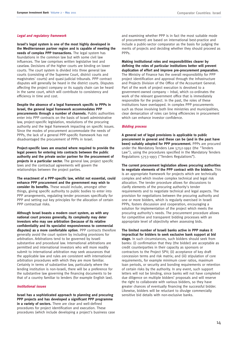#### **Legal and regulatory framework**

**Israel's legal system is one of the most highly developed in the Mediterranean partner region and is capable of meeting the needs of complex PPP transactions.** The legal system has foundations in the common law but with some civil law influences. The law comprises written legislative text and caselaw. Decisions of the higher courts are binding on lower courts. The court system is divided into three general law courts (consisting of the Supreme Court, district courts and magistrates' courts) and quasi-judicial tribunals. PPP contract disputes will generally be heard in the district courts. Disputes affecting the project company or its supply chain can be heard in the same court, which will contribute to consistency and efficiency in time and cost.

**Despite the absence of a legal framework specific to PPPs in Israel, the general legal framework accommodates PPP procurements through a number of channels.** Public authorities enter into PPP contracts on the basis of Israeli administrative law, project-specific legislation, resolutions of the procuring authority and the legal framework impacting on specific issues. Since the modes of procurement accommodate the needs of PPPs, the lack of a general PPP-specific framework has not disadvantaged the procurement of PPPs in Israel.

**Project-specific laws are enacted where required to provide the legal powers for entering into contracts between the public authority and the private sector partner for the procurement of projects in a particular sector.** The general law, project specific laws and the contractual agreements will govern the relationships between the project parties.

**The enactment of a PPP-specific law, whilst not essential, could enhance PPP procurement and the government may wish to consider its benefits.** These would include, amongst other things, giving specific authority to public bodies to enter into PPP arrangements, regulating tender processes specifically for PPP and setting out key principles for the allocation of certain PPP contractual risks.

**Although Israel boasts a modern court system, as with any national court process generally, its complexity may deter investors who may see arbitration (because of its relative confidentiality and its specialist responsiveness to commercial disputes) as a more comfortable option**. PPP contracts therefore generally avoid the court system by including provisions for arbitration. Arbitrations tend to be governed by Israeli substantive and procedural law. International arbitrations are permitted and international investors who will more readily submit to international arbitration may seek assurances that the applicable law and rules are consistent with international arbitration procedures with which they are more familiar. Certainly in terms of substantive law, particularly where the lending institution is non-Israeli, there will be a preference for the substantive law governing the financing documents to be that of a country familiar to lenders (for example English law).

#### **Institutional issues**

**Israel has a sophisticated approach to planning and procuring PPP projects and has developed a significant PPP programme in a variety of sectors.** There are clear and well-defined procedures for project identification and execution. These procedures (which include developing a project's business case and examining whether PPP is in fact the most suitable mode of procurement) are based on international best-practice and include a public-sector comparator as the basis for judging the merits of projects and deciding whether they should proceed as PPPs.

**Making institutional roles and responsibilities clearer by defining the roles of particular institutions better will prevent duplication of effort and improve pre-procurement preparation.** The Ministry of Finance has the overall responsibility for PPP project identification and approval through the Infrastructure and Projects Division of the Office of the Accountant General. Part of the work of project execution is devolved to a government-owned company – Inbal, which co-ordinates the work of the relevant government office that is immediately responsible for the project. In the past, the roles of these institutions have overlapped. In complex PPP procurements such as those involving both line ministries and municipalities, clear demarcation of roles can bring efficiencies in procurement which can enhance investor confidence.

#### **Bidding process**

**A general set of legal provisions is applicable to public procurement in general and these can be (and in the past have been) suitably adopted for PPP procurement.** PPPs are procured under the Mandatory Tenders Law 5752-1992 (the "Tenders Law"), using the procedures specified in the Mandatory Tenders Regulations 5753-1993 ("Tenders Regulations").

**The current procurement legislation allows procuring authorities to negotiate elements of the PPP contract with the bidders.** This is an appropriate framework for projects which are technically complex and which involve complex technical and legal risk allocation. The tender procedure allows for discussions to clarify elements of the procuring authority's tender requirements and to negotiate technical and legal aspects. The provision for negotiations between the procuring authority and one or more bidders, which is regularly exercised in Israeli PPPs, fosters discussion and cooperation, encouraging a solution for implementation of the project which meets the procuring authority's needs. The procurement procedure allows for competitive and transparent bidding processes with an appropriate level of objectivity when assessing bids.

**The limited number of Israeli banks active in PPP makes it impractical for bidders to seek exclusive bank support at bid stage.** In such circumstances, such bidders should seek from banks: (i) confirmation that they (the bidder) are acceptable as credit counterparties in their capacity as sponsors or contractors to the Project SPV; (ii) acceptance of key draft concession terms and risk matrix; and (iii) stipulation of core requirements, for example minimum cover ratios, maximum loan periods, or security and bonding requirements or retention of certain risks by the authority. In any event, such support letters will not be binding, since banks will not have completed due diligence on multiple bidders' proposals and will reserve the right to collaborate with various bidders, so they have greater chances of eventually financing the successful bidder. Likewise, bidders will be reluctant to divulge commercially sensitive bid details with non-exclusive banks.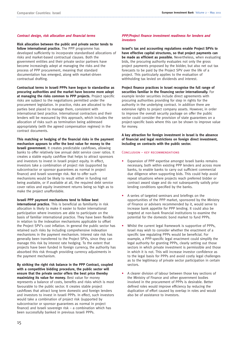#### **Contract design, risk allocation and financial terms**

**Risk allocation between the public and private sector tends to follow international practice.** The PPP programme has developed sufficiently to incorporate standardised allocations of risks and market-based contractual clauses. Both the government entities and their private sector partners have become increasingly adept at managing the risks and the process of PPP procurement, meaning that standard documentation has emerged, along with market-driven contractual drafting.

**Contractual terms in Israeli PPPs have begun to standardise as procuring authorities and the market have become more adept at managing the risks common to PPP projects.** Project specific risks are subject to the negotiations permitted under the procurement legislation. In practice, risks are allocated to the parties best placed to manage them, consistent with international best practice. International contractors and their lenders will be reassured by this approach, which includes the allocation of risks such as termination being addressed appropriately (with the agreed compensation regimes) in the contract documents.

**This matching or hedging of the financial risks in the payment mechanism appears to offer the best value for money to the Israeli government.** It creates predictable cashflows, allowing banks to offer relatively low annual debt service cover ratios. It creates a stable equity cashflow that helps to attract sponsors and investors to invest in Israeli project equity. In effect, investors take a combination of project risk (supported by subcontractor or sponsor guarantees as normal in project finance) and Israeli sovereign risk. Not to offer such mechanisms would be likely to result either in funding not being available, or if available at all, the required debt service cover ratios and equity investment returns being so high as to make the project unaffordable.

**Israeli PPP payment mechanisms tend to follow best international practice.** This is beneficial as familiarity in risk allocation is likely to make it easier to foster international participation where investors are able to participate on the basis of familiar international practice. They have been flexible in relation to the indexation mechanisms applicable to offset the Project SPV's cost inflation. In general the public sector has retained such risks by including comprehensive indexation mechanisms in the payment mechanism. Interest rate risk has generally been transferred to the Project SPVs, since they can manage this risk by interest rate hedging. To the extent that projects have been funded in foreign currency, the authority has absorbed this risk through providing currency adjustments in the payment mechanism.

**By striking the right risk balance in the PPP Contract, coupled with a competitive bidding procedure, the public sector will ensure that the private sector offers the best price thereby maximizing its value for money.** Best value for money represents a balance of costs, benefits and risks which is most favourable to the public sector. It creates stable project cashflows that attract long term domestic and foreign lenders and investors to invest in Israeli PPPs. In effect, such investors would take a combination of project risk (supported by subcontractor or sponsor guarantees as normal in project finance) and Israeli sovereign risk – a combination which has been successfully banked in previous Israeli PPPs.

#### **PPP/Project finance investment readiness for lenders and investors**

**Israel's tax and accounting regulations enable Project SPVs to have effective capital structures, so that project payments can be made as efficient as possible.** Nevertheless, when evaluating bids, the procuring authority evaluates not only the gross project payments proposed by the bidder, but also net out tax forecasts to be paid by the Project SPV over the life of a project. This particularly applies to the evaluation of withholding tax levied on dividends and interest.

**Project finance practices in Israel recognise the full range of securities familiar in the financing sector internationally.** For example lender securities include direct agreements with procuring authorities providing for step in rights for the authority in the underlying contract. In addition there are extensive rights to project company assets. However, in order to improve the overall security package on offer the public sector could consider the provision of state guarantees on a project-specific basis where this can be shown to improve value for money.

**A key attraction for foreign investment in Israel is the absence of financial and legal restrictions on foreign direct investment, including on contracts with the public sector.**

#### Conclusion – key recommendations

- Expansion of PPP expertise amongst Israeli banks remains necessary, both within existing PPP lenders and across more banks, to enable banks to carry out sufficient commercial due diligence when supporting bids. This could help avoid repeat situations where projects reach preferred bidder or contract award stage and do not subsequently satisfy prior lending conditions specified by the banks.
- A series of targeted seminars and briefings on the opportunities of the PPP market, sponsored by the Ministry of Finance or advisers recommended by it, would serve to increase bank appetite for PPP lending. It could also be targeted at non-bank financial institutions to examine the potential for the domestic bond market to fund PPPs.
- Whilst the current legal framework is supportive of PPPs, Israel may wish to consider whether the enactment of a specific law regulating PPPs would be beneficial. For example, a PPP-specific legal enactment could simplify the legal authority for granting PPPs, clearly setting out those sectors in which private investment is permissible and those in which it is not. This will increase investor confidence as to the legal basis for PPPs and avoid costly legal challenges as to the legitimacy of private sector participation in certain sectors.
- A clearer division of labour between those key sections of the Ministry of Finance and other government bodies involved in the procurement of PPPs is desirable. Better defined roles would improve efficiency by reducing the duplication of effort caused by overlap in roles and would also be of assistance to investors.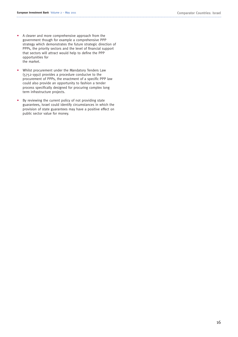- A clearer and more comprehensive approach from the government though for example a comprehensive PPP strategy which demonstrates the future strategic direction of PPPs, the priority sectors and the level of financial support that sectors will attract would help to define the PPP opportunities for the market.
- Whilst procurement under the Mandatory Tenders Law (5752-1992) provides a procedure conducive to the procurement of PPPs, the enactment of a specific PPP law could also provide an opportunity to fashion a tender process specifically designed for procuring complex long term infrastructure projects.
- By reviewing the current policy of not providing state guarantees, Israel could identify circumstances in which the provision of state guarantees may have a positive effect on public sector value for money.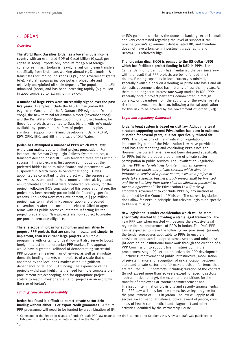# 4. JORDAN

#### **Overview**

**The World Bank classifies Jordan as a lower middle income country** with an estimated GDP of €20.6 billion (€3,448 per capita in 2009). Exports only account for 39% of foreign currency earnings. Jordan is heavily reliant on foreign transfers, specifically from Jordanians working abroad (19%), tourism & transit fees for Iraq bound goods (23%) and government grants (6%). Natural resources include potash, phosphate and relatively unexploited oil shale deposits. The population is 78% urbanised (2008), and has been increasing rapidly (6.5 million in 2010 compared to 3.2 million in 1990).

**A number of large PPPs were successfully signed over the past five years.** Examples include the AES Amman Jordan IPP (signed in March 2007), the Al Qatrana IPP (signed in October 2009), the new terminal for Amman Airport (November 2007) and the Disi Water PPP (June 2009). Total project funding for these four projects amounted to \$2.4 billion, with 30% made available by sponsors in the form of project equity plus significant support from Islamic Development Bank, KEXIM, KfW, OPIC, JBIC, and EIB in the case of Disi Water.

**Jordan has attempted a number of PPPs which were later withdrawn mainly due to limited project preparation.** For instance, the Amman-Zarqa Light Railway System project, a transport demand-based BOT, was tendered three times without success. This project was first approved in 2004 but the preferred bidder failed to raise finance and procurement was suspended in March 2009. In September 2009 IFC was appointed as consultant to this project with the purpose to review, assess and update the economic, technical, legal and environmental studies that were conducted previously for the project. Following IFC's conclusion of this preparation stage, the project has been recently put on hold for financing-specific reasons. The Aqaba New Port Development, a \$540 million project, was terminated in November 2009 and procured conventionally after the consortium selected failed to agree terms with its public sector counterpart, reflecting limited project preparation. New projects are now subject to greater pre-procurement due diligence.

**There is scope in Jordan for authorities and ministries to propose PPP projects that are smaller in scale, and simpler to implement, than its current large projects.** A suitable PPP programme with certainty of deal flow will also serve to boost foreign interest in the Jordanian PPP market. This approach would have a greater likelihood of demonstrating successful PPP procurement earlier than otherwise, as well as stimulate domestic funding markets with projects of a scale that can be absorbed by the local bank market without significant dependence on IFI and ECA funding. The experience of the projects withdrawn highlights the need for more complete preprocurement project scoping, and for appropriate project scaling to match investor appetite for projects in an economy the size of Jordan's.

#### **Funding capacity and availability**

**Jordan has found it difficult to attract private sector debt funding without either IFI or export credit guarantees.** A future PPP programme will need to be funded by a combination of IFI or ECA-guaranteed debt as the domestic banking sector is small and very constrained regarding the level of support it can provide. Jordan's government debt is rated BB, and therefore does not have a long-term investment grade rating and Debt/GDP is relatively high.

## **The Jordanian dinar (JOD) is pegged to the US dollar (USD)**

**which has facilitated project funding in USD in PPPs.** The Central Bank of Jordan (CBJ) has maintained the peg since 1995 with the result that PPP projects are being funded in US dollars. Funding capability in local currency is minimal, generally available only on a floating or prime rate basis and all domestic government debt has maturity of less than 5 years. As there is no long-term interest rate swap market in JOD, PPPs generally obtain project payments denominated in foreign currency, or guarantees from the authority of the exchange rate risk in the payment mechanism, following a formal application for this risk to be covered by the Government of Jordan (GOJ).

#### **Legal and regulatory framework**

**Jordan's legal system is based on civil law. Although a legal structure supporting current Privatization has been in existence in Jordan for several years, it is not specifically tailored for PPPs.** The provisions of the Privatization Regulation, implementing parts of the Privatization Law, have provided a legal basis for tendering and concluding PPPs since 2008. However, the current laws have not been designed specifically for PPPs but for a broader programme of private sector participation in public services. The Privatization Regulation defines PPP as "a relatively long-term written agreement between the public and private sectors, which aims to introduce a service of a public nature, execute a project or undertake a specific business. Such project shall be financed and the risk arising from there shall be allocated pursuant to the said agreement." The Privatization Law (Article  $4$ ) empowers government to conclude PPPs by any method as determined by the Council of Ministers. The current legislation does allow for PPPs in principle, but relevant legislation specific to PPPs is missing.

**New legislation is under consideration which will be more specifically directed to providing a stable legal framework.** The new PPP Law when enacted will become the exclusive legal regime for the procurement of PPPs in Jordan. The Draft PPP Law is expected to make the following key provisions: (a) unify the tender procedures applicable to PPPs to ensure a consistent approach is adopted across sectors and ministries; (b) develop an institutional framework through the creation of a PPP Commission to support line ministries during the procurement stage; (c) set out objectives for PPP development – including improvement of public infrastructure; mobilisation of private finance and recognition of risk allocation between state and private sector; and (d) make provision for terms that are required in PPP contracts, including duration of the contract (to not exceed more than 35 years except for specific sectors such as nuclear energy), the extent and conditions for the transfer of employees at contract commencement and finalisation, termination provisions and security arrangements. The PPP Law will thus become the exclusive legal regime for the procurement of PPPs in Jordan. The law will apply to all sectors except national defence, police, award of justice, core areas of health care (medical and diagnostic) and other activities identified by the Partnership Council.7

<sup>7</sup> Comments in the Report in respect of Jordan's draft PPP law relate to the draft current at 30 October 2010. A revised draft was published in February 2011 and is not taken into account in the Report.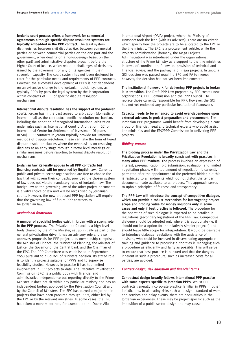**Jordan's court process offers a framework for commercial agreements although specific dispute resolution systems are typically embedded in the PPP contract.** The legal system distinguishes between civil disputes (i.e. between commercial parties or between commercial parties on the one part and the government, when dealing on a non-sovereign basis, on the other part) and administrative disputes brought before the Higher Court of Justice, which relate to challenges of decisions issued by the government or any of its agencies in their sovereign capacity. The court system has not been designed to cater for the particular needs and requirements of PPP contracts. However, the successful development of PPPs is not dependent on an extensive change to the Jordanian judicial system, as typically PPPs by-pass the legal system by the incorporation within contracts of PPP of specific dispute resolution mechanisms.

**International dispute resolution has the support of the Jordanian**

**courts.** Jordan has in the past agreed to arbitration (domestic or international) as the contractual conflict resolution mechanism, including the adoption of recognised international arbitration under rules such as International Court of Arbitration (ICC) or International Centre for Settlement of Investment Disputes (ICSID). PPP contracts in Jordan typically provide for 'informal' methods of dispute resolution. These can take the form of tiered dispute resolution clauses where the emphasis is on resolving disputes at an early stage through director level meetings or similar measures before resorting to formal dispute resolution mechanisms.

**Jordanian law generally applies to all PPP contracts but financing contracts will be governed by English law.** Currently public and private sector organisations are free to choose the law that will govern their contracts, provided the chosen system of law does not violate mandatory rules of Jordanian law. The foreign law as the governing law of the other project documents is a valid choice of law and will be recognised by Jordanian courts. However, the new proposed PPP legislation will require that the governing law of future PPP contracts to be Jordanian law.

#### **Institutional framework**

**A number of specialist bodies exist in Jordan with a strong role in the PPP process.** The Privatization Council is a high level body chaired by the Prime Minister, set up initially as part of the general privatization drive. It has an advisory role and also approves proposals for PPP projects. Its membership comprises the Minister of Finance, the Minister of Planning, the Minister of Justice, the Governor of the Central Bank and the Chairman of the EPC. The PPP Committee was established in September 2008 pursuant to a Council of Ministers decision. Its stated role is to identify projects suitable for PPPs and to supervise feasibility studies. However, in practice it has had limited involvement in PPP projects to date. The Executive Privatisation Commission (EPC) is a public body with financial and administrative independence but reporting directly to the Prime Minister. It does not sit within any particular ministry and has an independent budget approved by the Privatization Council and by the Council of Ministers. The EPC has played a major role in projects that have been procured through PPPs, either led by the EPC or by the relevant ministries. In some cases, the EPC has taken a more minor role, for example on the Queen Alia

International Airport (QAIA) project, where the Ministry of Transport took the lead (with its advisers). There are no criteria which specify how the projects are to be allocated to the EPC or the line ministry. The EPC is a procurement vehicle, while the Projects Administration (formerly, the Mega Projects Administration) was introduced under the organizational structure of the Prime Ministry as a support to the line ministries in terms of coordination, follow-up, provision of technical and financial advice, and the packaging of mega projects. In 2010, a GOJ decision was passed requiring EPC and PA to merge; however, the decision has not yet been implemented.

**The institutional framework for delivering PPP projects in Jordan is in transition.** The Draft PPP Law prepared by EPC creates new organisations: PPP Commission and the PPP Council – to replace those currently responsible for PPP. However, the GOJ has not yet endorsed any particular institutional framework.

**Capacity needs to be enhanced to avoid over-dependence upon external advisers in project preparation and procurement.** The Jordanian PPP programme would benefit from developing a core group of financial, legal and technical experts who could assist line ministries and the EPC/PPP Commission in delivering PPP projects.

#### **Bidding process**

**The bidding process under the Privatization Law and the Privatization Regulation is broadly consistent with practices in many other PPP markets.** The process involves an expression of interest, pre-qualification, bid submission, evaluation and limited negotiation phase. A limited amount of negotiation is currently permitted after the appointment of the preferred bidder, but this is restricted to amendments which do not distort the tender documents made available to all bidders. This approach serves to uphold principles of fairness and transparency.

**The PPP Law will introduce the concept of competitive dialogue, which can provide a robust mechanism for interrogating project scope and probing value for money solutions only in some cases and only if best practice is followed.** The procedure for the operation of such dialogue is expected to be detailed in regulations (secondary legislation) of the PPP Law. Competitive dialogue should be adopted only where it is appropriate (ie. it should not be a option for the relatively simpler projects) and should leave little scope for interpretation. It would be desirable to introduce dialogue regulations with the assistance of advisers, who could be involved in disseminating appropriate training and guidance to procuring authorities in managing such a procedure as efficiently and fairly as possible. This will serve to ensure that best practice is pursued and that the dangers inherent in such a procedure, such as increased costs for all parties, are avoided.

#### **Contract design, risk allocation and financial terms**

**Contractual design broadly follows international PPP practice with some aspects specific to Jordanian PPPs.** Whilst PPP contracts generally incorporate practice familiar in PPPs in other jurisdictions, in allocating risks such as design, standard of work and services and delay events, there are peculiarities in the Jordanian experiences. These may be project-specific such as the imposition of a public sector design and may cause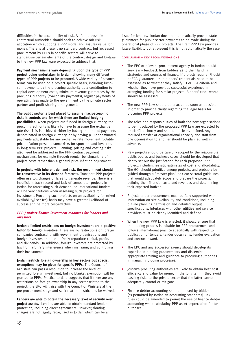difficulties in the acceptability of risk. As far as possible contractual authorities should seek to achieve fair risk allocation which supports a PPP model and assures value for money. There is at present no standard contract, but increased procurement by PPPs in specific sectors will serve to standardise certain elements of the contract design and by-laws to the new PPP law ware expected to address that.

**Payment mechanisms vary depending upon the type of PPP project being undertaken in Jordan, allowing many different types of PPP projects to be procured.** A wide variety of payment terms can be used on a project specific basis, including lumpsum payments by the procuring authority as a contribution to capital development costs, minimum revenue guarantees by the procuring authority (availability payments), regular payments of operating fees made to the government by the private sector partner and profit-sharing arrangements.

**The public sector is best placed to assume macroeconomic risks it controls and for which there are limited hedging**

**possibilities.** When projects are funded in foreign currency, the procuring authority is likely to have to assume the exchange rate risk. This is achieved either by having the project payments denominated in foreign currency, or by having JOD-denominated payments adjustable for any exchange rate movement. Volatile price inflation presents some risks for sponsors and investors in long term PPP projects. Planning, pricing and costing risks also need be addressed in the PPP contract payment mechanisms, for example through regular benchmarking of project costs rather than a general price inflation adjustment.

**In projects with inherent demand risk, the government should be conservative in its demand forecasts.** Transport PPP projects often use toll charges or fares to generate revenue. There is an insufficient track record and lack of comparator projects in Jordan for forecasting such demand, so international funders will be very cautious when assessing such projects for investment. Procuring such projects on an availability (or mixed availability/user fee) basis may have a greater likelihood of success and be more cost-effective.

#### **PPP / project finance investment readiness for lenders and investors**

**Jordan's limited restrictions on foreign investment are a positive factor for foreign investors.** There are no restrictions on foreign companies contracting with government organisations and foreign investors are able to freely repatriate capital, profits and dividends. In addition, foreign investors are protected by law from arbitrary interference when managing and controlling their investments.

**Jordan restricts foreign ownership in key sectors but special exemptions may be given for specific PPPs.** The Council of Ministers can pass a resolution to increase the level of permitted foreign investment, but no blanket exemption will be granted to PPPs. Practice to date suggests that if there are any restrictions on foreign ownership in any sector related to the project, the EPC will liaise with the Council of Ministers at the pre-procurement stage and seek that the restrictions be waived.

**Lenders are able to obtain the necessary level of security over project assets.** Lenders are able to obtain standard lender protection, including direct agreements. However, floating charges are not legally recognised in Jordan which can be an

issue for lenders. Jordan does not automatically provide state guarantees for public sector payments to be made during the operational phase of PPP projects. The Draft PPP Law provides future flexibility but at present this is not automatically the case.

#### Conclusion – key recommendations

- The EPC or relevant procurement agency in Jordan should seek early feedback from bidders as to their funding strategies and sources of finance. If projects require IFI debt or ECA guarantees, then bidders' credentials need to be assessed as to whether they satisfy IFI or ECA criteria and whether they have previous successful experience in arranging funding for similar projects. Bidders' track record should be assessed.
- The new PPP Law should be enacted as soon as possible in order to provide clarity regarding the legal basis for procuring PPP projects.
- The roles and responsibilities of both the new organisations to be introduced by the proposed PPP Law are expected to be clarified shortly and should be clearly defined. Any required transfer of organisational capacity and staff from one organisation to another should be planned well in advance.
- New projects should be carefully scoped by the responsible public bodies and business cases should be developed that clearly set out the justification for each proposed PPP project, including realistic estimates of cost and affordability. The GOJ should prioritize among projects, and probably be guided through a "master plan" or clear sectoral guidelines that would adequately scope and prepare the projects, defining their financial costs and revenues and determining their expected horizon.
- Projects under procurement must be fully supported with information on site availability and conditions, including outline planning permission and detailed output specifications. Interfaces with other utilities and service providers must be clearly identified and defined.
- When the new PPP Law is enacted, it should ensure that the bidding process is suitable for PPP procurement and follows international practice specifically with respect to publication of tenders, tender documents, tender evaluation and contract award.
- The EPC and any successor agency should develop its expertise in running procurements and disseminate appropriate training and guidance to procuring authorities in managing bidding processes.
- Jordan's procuring authorities are likely to obtain best cost efficiency and value for money in the long term if they avoid passing risks to the private sector that the latter cannot adequately control or mitigate.
- Finance debtor accounting should be used by bidders (as permitted by Jordanian accounting standards). Tax rules could be amended to permit the use of finance debtor accounting when calculating PPP asset depreciation for tax purposes.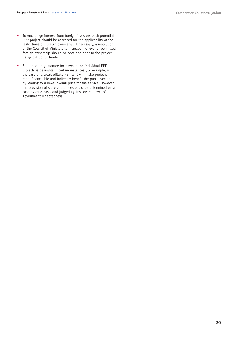- To encourage interest from foreign investors each potential PPP project should be assessed for the applicability of the restrictions on foreign ownership. If necessary, a resolution of the Council of Ministers to increase the level of permitted foreign ownership should be obtained prior to the project being put up for tender.
- State-backed guarantee for payment on individual PPP projects is desirable in certain instances (for example, in the case of a weak offtaker) since it will make projects more financeable and indirectly benefit the public sector by leading to a lower overall price for the service. However, the provision of state guarantees could be determined on a case by case basis and judged against overall level of government indebtedness.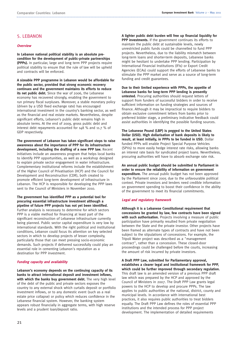# 5. LEBANON

#### **Overview**

**In Lebanon national political stability is an absolute precondition for the development of public-private partnerships (PPPs).** In particular, large and long term PPP projects require political stability to ensure that the rule of law will be upheld and contracts will be enforced.

**A sizeable PPP programme in Lebanon would be affordable for the public sector, provided that strong economic recovery continues and the government maintains its efforts to reduce its net public debt.** Since the war of 2006, the Lebanese economy has recovered strongly, enabling the government to run primary fiscal surpluses. Moreover, a stable monetary policy (driven by a USD fixed exchange rate) has encouraged international investment in the country's banking sector, as well as the financial and real estate markets. Nevertheless, despite significant efforts, Lebanon's public debt remains high in absolute terms. At the end of 2009, gross public debt and interest debt repayments accounted for 148 % and 11.7 % of GDP respectively.

**The government of Lebanon has taken significant steps to raise awareness about the importance of PPP for its infrastructure development, including the drafting of a new PPP law.** Recent initiatives include an awareness program that helps local banks to identify PPP opportunities, as well as a workshop designed to explain private sector engagement in water infrastructure. Complementary institutional reforms include the establishment of the Higher Council of Privatisation (HCP) and the Council for Development and Reconstruction (CDR), both created to promote efficient long-term development of infrastructure in Lebanon. The HCP is responsible for developing the PPP laws sent to the Council of Ministers in November 2010.

**The government has identified PPP as a potential tool for procuring essential infrastructure investment although a pipeline of future PPP projects has not yet been identified.** Further analysis is necessary to determine for which sectors PPP is a viable method for financing at least part of the significant reconstruction of Lebanese infrastructure currently being planned. Public sector capital expenditure is very low by international standards. With the right political and institutional conditions, Lebanon could focus its attention on key selected sectors in which to develop projects of lesser complexity, particularly those that can meet pressing socio-economic demands. Such projects if delivered successfully could play an essential role in cementing Lebanon's reputation as a destination for PPP investment.

#### **Funding capacity and availability**

**Lebanon's economy depends on the continuing capacity of its banks to attract international deposit and investment inflows, with which the banks buy government debt.** The very high level of the debt of the public and private sectors exposes the country to any external shock which curtails deposit or portfolio investment inflows, or to any domestic event (such as a real estate price collapse) or policy which reduces confidence in the Lebanese financial system. However, the banking system appears robust financially in aggregate terms, with high reserve levels and a prudent loan/deposit ratio.

#### **A lighter public debt burden will free up financial liquidity for**

**PPP investments.** If the government continues its efforts to maintain the public debt at sustainable levels, newly unrestricted public funds could be channelled to fund PPP projects. Nevertheless, due to the liability mismatch between long-term loans and shorter-term deposits, Lebanese banks might be hesitant to undertake PPP lending. Participation by International Financial Institutions (IFIs) or Export Credit Agencies (ECAs) could support the efforts of Lebanese banks to stimulate the PPP market and serve as a source of long-term funding and credit guarantees.

**Due to their limited experience with PPPs, the appetite of Lebanese banks for long-term PPP lending is presently untested.** Procuring authorities should request letters of support from funders of successful bidders in order to receive sufficient information on funding strategies and sources of finance. Although it may be impractical to require bidders to obtain exclusive commitment letters from banks prior to preferred bidder stage, a preliminary indicative feedback could assist authorities in identifying the possible funding sources.

**The Lebanese Pound (LBP) is pegged to the United States Dollar (USD). High dollarisation of bank deposits is likely to result, at least initially, in PPPs to be funded in USD.** Dollar funded PPPs will enable Project Special Purpose Vehicles (SPVs) to more easily hedge interest rate risks, allowing banks an interest rate basis for syndicated project loans. Nevertheless, procuring authorities will have to absorb exchange rate risk.

**An annual public budget should be submitted to Parliament in order to ensure the reliability of information on government expenditure.** The annual public budget has not been approved by the Parliament since 2005 due to the unfavourable political context. Private investors and lenders need credible information on government spending to boost their confidence in the ability of the government to meet its financial commitments.

#### **Legal and regulatory framework**

**Although it is a Lebanese Constitutional requirement that concessions be granted by law, few contracts have been signed with such authorisation.** Projects involving a measure of public participation have primarily resulted from private negotiation between the State and the private investor. Other projects have been framed as alternate types of contracts and have not been subject to the stipulations of concessions. For example, the Tripoli Water project was described as a "management contract", rather than a concession. These closed-door proceedings could be challenged before the courts, increasing the amount of risk incurred by private investors.

**A Draft PPP Law, submitted for Parliamentary approval, establishes a clearer legal and institutional framework for PPP, which could be further improved through secondary regulation.** This draft law is an amended version of a previous PPP draft law which was prepared by the HCP and approved by the Council of Ministers in 2007. The Draft PPP Law grants legal powers to the HCP to develop and procure PPPs. The law applies to public authorities at the national, district, county and municipal levels. In accordance with international best practices, it also requires public authorities to treat bidders equally. The Draft PPP Law defines the roles of essential PPP institutions and the intended process for PPP project development. The implementation of detailed requirements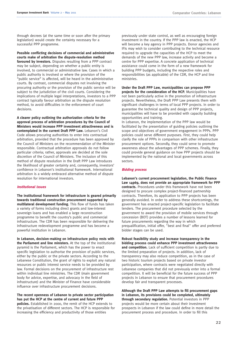through decrees (at the same time or soon after the primary legislation) would create the certainty necessary for a successful PPP programme.

**Possible conflicting decisions of commercial and administrative courts make of arbitration the dispute-resolution method favoured by investors.** Disputes resulting from a PPP contract may be subject, depending on whether a public entity is involved, to commercial or administrative law. Cases in which a public authority is involved or where the provision of the "public service" is affected, will be heard in the administrative courts. By contrast, commercial disputes not involving the procuring authority or the provision of the public service will be subject to the jurisdiction of the civil courts. Considering the implications of multiple legal interpretations, investors to a PPP contract typically favour arbitration as the dispute resolution method, to avoid difficulties in the enforcement of court decisions.

**A clearer policy outlining the authorization criteria for the approval process of arbitration procedures by the Council of Ministers would increase PPP investment attractiveness and is contemplated in the current Draft PPP Law.** Lebanon's Civil Code allows procuring authorities to enter into contractual arbitration, provided that the procedure has been approved by the Council of Ministers on the recommendation of the Minister responsible. Contractual arbitration approvals do not follow particular criteria; rather, approvals are decided at the sole discretion of the Council of Ministers. The inclusion of this method of dispute resolution in the Draft PPP Law introduces the likelihood of greater certainty and, consequently, investors' confidence in Lebanon's institutional framework. International arbitration is a widely embraced alternative method of dispute resolution for international investors.

#### **Institutional issues**

**The institutional framework for infrastructure is geared primarily towards traditional construction procurement supported by multilateral development funding.** This flow of funds has taken a variety of forms including direct grants and low-interest sovereign loans and has enabled a large reconstruction programme to benefit the country's public and commercial infrastructure. The CDR has been responsible for delivering the infrastructure redevelopment programme and has become a powerful institution in Lebanon.

**In Lebanon, decision-making on infrastructure policy rests with the Parliament and line ministers.** At the top of the institutional pyramid is the Parliament, which has the power to enact specific legislation to authorise the provision of public services, either by the public or the private sectors. According to the Lebanese Constitution, the grant of rights to exploit any natural resources or public interest service needs to be provided by law. Formal decisions on the procurement of infrastructure rest within individual line ministries. The CDR (main government body for advice, expertise, and advocacy in the field of infrastructure) and the Minister of Finance have considerable influence over infrastructure procurement decisions.

**The recent openness of Lebanon to private sector participation has put the HCP at the centre of current and future PPP policies.** Established in 2000, the remit of the HCP extends to the privatisation of different sectors. The HCP is responsible for increasing the efficiency and productivity of those entities

previously under state control, as well as encouraging foreign investment in the country. If the PPP law is enacted, the HCP will become a key agency in PPP projects. Donor agencies and IFIs may wish to consider contributing to the technical resource required to upgrade the capacities of the HCP to meet the demands of the new PPP law, increase activity and become a centre for PPP expertise. A concrete application of technical assistance could come in the form of a new framework for building PPP budgets, including the respective roles and responsibilities (as applicable) of the CDR, the HCP and line ministries.

**Under the Draft PPP Law, municipalities can propose PPP projects for the consideration of the HCP.** Municipalities have not been particularly active in the promotion of infrastructure projects. Nevertheless, the Draft PPP Law presents them with significant challenges in terms of local PPP projects. In order to guarantee the technical quality and design of PPP projects, municipalities will have to be provided with capacity building opportunities and training.

In Lebanon, the implementation of the PPP law would be facilitated by the presentation of guiding policies outlining the scope and objectives of government engagement in PPPs. PPP policies could serve different purposes. First, they could help clarify the role of PPPs in comparison with other infrastructure procurement options. Secondly, they could serve to promote awareness about the advantages of PPP schemes. Finally, they could provide general guidance on how PPP projects should be implemented by the national and local governments across sectors.

#### **Bidding process**

**Lebanon's current procurement legislation, the Public Finance Law 14969, does not provide an appropriate framework for PPP contracts.** Procedures under this framework have not been designed to procure complex project-financed partnership contracts. Therefore, its application to PPP projects has been generally avoided. In order to address these shortcomings, the government has enacted project-specific legislation to facilitate tenders. The procurement procedure selected by the government to award the provision of mobile services through concession (BOT) provides a number of lessons learned for future procurements regarding the way in which prequalification, initial offer, "best and final" offer and preferred bidder stages can be used.

**Robust feasibility study and increase transparency in the bidding process could enhance PPP investment attractiveness and competition.** Lack of sufficient competition is partly due to the limited preparation of projects. In addition, lack of transparency may also reduce competition, as in the case of two historic tourism projects based on private investor participation, where contracts were negotiated directly with Lebanese companies that did not previously enter into a formal competition. It will be beneficial for the future success of PPP projects in Lebanon to ensure that procurement procedures develop fair and transparent processes.

**Although the Draft PPP Law attempts to fill procurement gaps in Lebanon, its provisions could be completed, ultimately through secondary regulation.** Potential investors in PPP projects would be more certain about their investment prospects in Lebanon if the law could define in more detail the procurement process and procedure. In order to fill this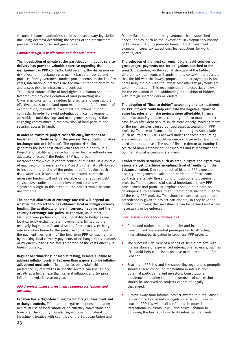vacuum, Lebanese authorities could issue secondary legislation (including decrees) describing the stages of the procurement process, legal recourse and guarantees.

#### **Contract design, risk allocation and financial terms**

**The introduction of private sector participation in public service delivery has provided valuable expertise regarding risk management in PPP contracts.** Until recently, the discussion on

risk allocation in Lebanon was mainly based on trends and practices from government funded procurements. In the last few years, international practices are the main criteria to determine and assess risks in infrastructure contracts.

The limited enforceability of land rights in Lebanon should be factored into any consideration of land permitting risk. Ownership uncertainty regarding land rights and constructors effective access to the land upon expropriation (enforcement of expropriation) may affect investment projections in PPP contracts. In order to avoid potential conflicts, government authorities could develop land management strategies (i.e. engaging communities in the provision of land permits and securing access to land).

**In order to maximize project cost efficiency, invitations to tender should clarify early in the process the allocation of risks (exchange rate and inflation).** The optimal risk allocation generates the best cost effectiveness for the authority in a PPP. Project affordability and value for money for the authority are adversely affected if the Project SPV has to bear macroeconomic which it cannot control or mitigate. In a context of macroeconomic uncertainty, a Project SPV is naturally forced to include in its pricing of the project a buffer against such risks. Moreover, if such risks are misallocated, either the necessary funding will not be available or the required debt service cover ratios and equity investment returns will be significantly high. In this scenario, the project would become unaffordable.

**The optimal allocation of exchange rate risk will depend on whether the Project SPV has obtained local or foreign currency funding, the availability of foreign currency hedging and the country's exchange rate policy.** In Lebanon, as in most Mediterranean partner countries, the ability to hedge against local currency exchange rate movements is limited by the relatively fragmented financial sector. Contractually, exchange rate risk when borne by the public sector is covered through the payment mechanism of the long term PPP contract, either by indexing local currency payments to exchange rate variations or by directly paying the foreign portion of the costs directly in foreign currency.

**Regular benchmarking, or market testing, is more suitable to address inflation costs in Lebanon than a general price inflation adjustment mechanism.** Two main factors explain this preference: (i) real wages in specific sectors can rise rapidly, usually at a higher rate than general inflation, and (ii) price inflation is volatile year-on-year.

#### **PPP / project finance investment readiness for lenders and investors**

**Lebanon has a 'light-touch' regime for foreign investment and exchange controls.** There are no legal restrictions stipulating minimum use of local labour or on currency conversions and transfers. The country has also signed over 40 bilateral investment treaties with countries of the European Union and

Middle East. In addition, the government has established special bodies, such as the Investment Development Authority of Lebanon (IDAL), to promote foreign direct investment (for example, income tax exceptions, fee reductions for work permits, etc).

**The selection of the most convenient bid should consider both gross project payments and tax obligations attached to the project.** Depending on the capital structure of the bidder, different tax treatments will apply. In this context, it is possible that the bid with the lowest proposed project payments is not necessarily the bid with the lowest cost after tax payments are taken into account. This recommendation is especially relevant for the evaluation of the withholding tax position of bidders with foreign shareholders or lenders.

**The adoption of "finance debtor" accounting and tax treatment for PPP projects could help eliminate the negative impact of some tax rules and make projects more affordable.** Finance debtor accounting enables accounting profit to match project cash flows after debt service much more closely, avoiding many of the inefficiencies caused by fixed asset accounting in PPP projects. The use of finance debtor accounting by subsidiaries (such as Project SPVs) is allowed under Lebanese accounting standards, although it would require a change in tax law to be used for tax purposes. The use of finance debtor accounting is typical of more established PPP markets and is recommended by international accounting standards.

**Lender friendly securities such as step-in rights and rights over assets are yet to achieve an optimal level of familiarity in the Lebanese market.** Due to the lack of historic PPP exposure, security arrangements available to parties to infrastructure contracts are largely those found on traditional procurement projects. Their absence is of crucial importance in any PPP procurement and particular emphasis should be placed on developing such securities to an international standard in some of the early PPP projects. This should ensure that appropriate precedence is given to project participants, so they have the comfort of knowing that investments can be secured and where necessary can be enforced.

#### Conclusion – key recommendations

- Continued national political stability and institutional development are essential pre-requisites to attracting international participation in Lebanese PPP projects.
- The successful delivery of a series of simple projects with the assistance of experienced international advisers, such as IFIs, could help establish a positive market reputation for Lebanon.
- Enacting a PPP law and the supporting regulations promptly should ensure continued momentum in interest from potential participants and investors. Constitutional requirements relating to the procurement of concessions should be observed so projects cannot be legally challenged.
- A move away from informal project awards to a regularised tender procedure based on regulations issued under an enacted PPP law will instil confidence in potential international investors. It will also assist Lebanon in obtaining the best solutions to its infrastructure needs.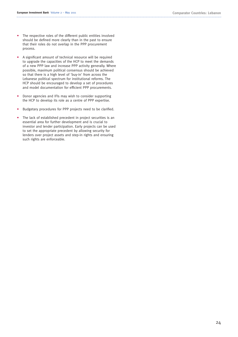- The respective roles of the different public entities involved should be defined more clearly than in the past to ensure that their roles do not overlap in the PPP procurement process.
- A significant amount of technical resource will be required to upgrade the capacities of the HCP to meet the demands of a new PPP law and increase PPP activity generally. Where possible, maximum political consensus should be achieved so that there is a high level of 'buy-in' from across the Lebanese political spectrum for institutional reforms. The HCP should be encouraged to develop a set of procedures and model documentation for efficient PPP procurements.
- Donor agencies and IFIs may wish to consider supporting the HCP to develop its role as a centre of PPP expertise.
- Budgetary procedures for PPP projects need to be clarified.
- The lack of established precedent in project securities is an essential area for further development and is crucial to investor and lender participation. Early projects can be used to set the appropriate precedent by allowing security for lenders over project assets and step-in rights and ensuring such rights are enforceable.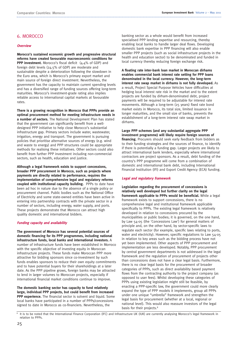# 6. MOROCCO

#### **Overview**

**Morocco's sustained economic growth and progressive structural reforms have created favourable macroeconomic conditions for PPP investment.** Morocco's fiscal deficit (4.4% of GDP) and foreign debt levels (24.5% of GDP) are moderate and sustainable despite a deterioration following the slowdown in the Euro area, which is Morocco's primary export market and main source of foreign direct investment. Nevertheless, the government has the capacity to maintain current spending levels and has a diversified range of funding sources offering long-term maturities. Morocco's investment-grade rating also implies reliable access to international capital markets at favourable rates.

**There is a growing recognition in Morocco that PPPs provide an optimal procurement method for meeting infrastructure needs in a number of sectors.** The National Development Plan has stated that the government can significantly benefit from a welldesigned PPP initiative to help close Morocco's substantial infrastructure gap. Primary sectors include water, wastewater, irrigation, energy and transport. The government is pursuing policies that prioritise alternative sources of energy (e.g. wind and waste to energy) and PPP structures could be appropriate methods for realising these initiatives. Other sectors could also benefit from further PPP investment including non-commercial sectors, such as health, education and justice.

**Although a legal framework exists to support concessions, broader PPP procurement in Morocco, such as projects where payments are directly related to performance, requires the implementation of comprehensive legal and regulatory reforms coupled with institutional capacity building.** PPPs to date have been ad hoc in nature due to the absence of a single policy or procurement channel. Public bodies such as the National Office of Electricity and some state-owned entities have been active in entering into partnership contracts with the private sector in a number of sectors, including energy, water supply, and ports. These projects demonstrate that Morocco can attract high quality domestic and international bidders.

#### **Funding capacity and availability**

**The government of Morocco has several potential sources of domestic financing for its PPP programmes, including national infrastructure funds, local banks and international investors.** A number of infrastructure funds have been established in Morroco with the specific objective of investing equity in Moroccan infrastructure projects. These funds make Moroccan PPP more attractive for bidding sponsors since co-investment by such funds enables sponsors to reduce their own equity commitments and to have potential buyers for their shareholdings at a later date. As the PPP pipeline grows, foreign banks may be attracted to lend in larger volumes to Moroccan projects, especially if international financial market conditions continue to improve.

**The domestic banking sector has capacity to fund relatively large, individual PPP projects, but could benefit from increased PPP experience.** The financial sector is solvent and liquid. Some local banks have participated in a number of PPPs/concessions signed to date in Morocco as co-financiers. Nevertheless, the

banking sector as a whole would benefit from increased specialised PPP lending expertise and resourcing, thereby enabling local banks to handle larger deal flows. Developing domestic bank expertise in PPP financing will also enable smaller PPP projects (such as social infrastructure projects in the health and education sector) to be denominated and funded in local currency thereby reducing foreign exchange risk.

**A floating rate inter-bank loan market in Moroccan dirhams enables commercial bank interest rate setting for PPP loans denominated in the local currency. However, the long-term interest rate swap market in dirhams is not fully developed.** As a result, Project Special Purpose Vehicles have difficulties at hedging local interest rate risk in the market and to the extent projects are funded by dirham-denominated debt, project payments will be required to be adjustable for interest rate movements. Although a long-term (25 years) fixed rate bond market exists in Morocco, its total size, limited issuance in longer maturities, and the small size of banks, prevents the establishment of a long-term interest rate swap market in dirhams.

#### **Large PPP schemes (and any substantial aggregate PPP investment programme) will likely require foreign sources of**

**financing.** Procurers should seek early feedback from bidders as to their funding strategies and the sources of finance, to identify if there is potentially a funding gap. Larger projects are likely to attract international bank lenders, especially where international contractors are project sponsors. As a result, debt funding of the country's PPP programme will come from a combination of domestic and international bank debt, including International Financial Institution (IFI) and Export Credit Agency (ECA) funding.

### **Legal and regulatory framework**

**Legislation regarding the procurement of concessions is relatively well developed but further clarity on the legal framework applicable to PPPs would be beneficial.** While a legal framework exists to support concessions, there is no comprehensive legal and institutional framework applicable specifically to PPPs. The existing legal framework is relatively developed in relation to concessions procured by the municipalities or public bodies; it is governed, on the one hand, by Law 54-05 (the 'Concessions Law') for general matters of principle and, on the other hand, by sector-specific laws to regulate each sector (for example, specific laws relating to ports, water and electricity). However, specific regulations to Law 54-05 in relation to key areas such as the bidding process have not yet been implemented. Other aspects of PPP procurement and implementation are less developed. Notably, PPP procurement by central government departments is not addressed in the legal framework and the regulation of procurement of projects other than concessions does not have a clear legal basis. Furthermore, there is no clear legal basis for the procurement of broader categories of PPPs, such as direct availability based payment flows from the contracting authority to the project company (as opposed to user fees). Whilst developing these categories of PPPs using existing legislation might still be feasible, by enacting a PPP-specific law, the government could more clearly expand the type of PPP models it implements, group all PPPs under one unique "umbrella" framework and strengthen the legal basis for procurement (whether at a local, regional or national level). This would also reassure investors of the legal basis for their projects.<sup>8</sup>

 $\overline{8}$  It is to be noted that the International Finance Corporation (IFC) and Infrastructure UK (IUK) are currently analysing Morocco's legal framework in relation to PPPs.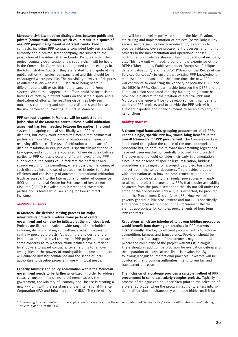**Morocco's civil law tradition distinguishes between public and private (commercial) matters, which could result in disputes of one PPP project being heard in different courts.** Public

contracts, including PPP contracts concluded between a public authority and a private sector company, are subject to the jurisdiction of the Administrative Courts. Disputes within the project company's/concessionaire's supply chain will be heard in the Commercial Courts but can be joined to proceedings in the Administrative Courts if they are related to a dispute at the public authority – project company level and this should be encouraged where possible. The possibility however of disputes at different levels within a PPP structure being heard in different courts still exists (this is the same as the French system). Where this happens, the effects could be inconsistent findings of facts by different courts on the same dispute and a duplication of efforts. The resulting disparities between outcomes can prolong and complicate disputes and increase the risk perceived in investing in PPPs in Morocco.

**PPP contract disputes in Morocco will be subject to the jurisdiction of the Moroccan courts unless a valid arbitration agreement has been reached between the parties.** The court system is adapting to deal specifically with PPP-related disputes, but costly court procedures means that commercial parties are more likely to prefer arbitration as a means of resolving differences. The use of arbitration as a means of dispute resolution in PPP projects is specifically mentioned in Law 54-05 and should be encouraged. Where disputes between parties to PPP contracts occur at different levels of the PPP supply chain, the courts could facilitate their efficient and speedy resolution by permitting, where possible, the joining of such disputes into one set of proceedings in order to foster efficiency and consistency of outcome. International arbitration (such as pursuant to the International Chamber of Commerce (ICC) or International Centre for Settlement of Investment Disputes (ICSID)) is available to international commercial parties and is foreseen in Law 54-05 for foreign direct investments.

#### **Institutional issues**

**In Morocco, the decision-making process for major infrastructure projects involves many parts of central government and can also be initiated at the municipal level.** Projects are likely to involve a wide range of stakeholders, including decision-making committees across ministries for centrally procured projects. Although there is desire and an impetus at the local level to develop PPP projects, there are some concerns as to whether municipalities have sufficient legal powers to award contracts. Legal reforms to remove ambiguities in the powers of municipalities to procure projects will enhance investor confidence and the scope of local authorities to develop projects in line with local needs.

**Capacity building and policy coordination within the Moroccan government needs to be further prioritized.** In order to address capacity constraints and ensure coherence across the government, the Ministry of Economy and Finance is creating a new PPP unit with the assistance of the International Finance Corporation (IFC) and Infrastructure UK (IUK). The role of this

unit will be to develop policy, to support the identification, structuring and implementation of projects (particularly in key service sectors such as health or education) as well as to provide guidance, oversee procurement processes, and monitor projects in the implementation and operational phases, contribute to knowledge sharing, draw up operational manuals, etc.. This new unit will need to build on the experience of the DEPP ("Direction des Etablissements et Enterprises Publiques et de la Privatisation") and the DRSC ("Direction des Regies et des Services Concedes") to ensure that existing PPP knowledge is mobilised and enhanced. At the same time, the new PPP unit will contribute to enhancing the capacity of both the DEPP and the DRSC in PPPs. Close partnership between the DEPP and the European Union-sponsored capacity building programme has provided a platform for the creation of a central PPP unit. Morocco's challenge will be to develop sufficient number and quality of PPP projects and to provide the PPP unit with sufficient expertise and financial means to be able to carry out its functions.

#### **Bidding process**

**A clearer legal framework, grouping procurement of all PPPs under a single, specific PPP law, would bring benefits in the overall framework for PPP procurement.** The Concessions Law is intended to regulate the choice of the most appropriate procedure but, to date, the relevant implementing regulations have not been enacted for centrally procured PPP projects.<sup>9</sup> The government should consider their early implementation since, in the absence of specific legal regulation, bidding procedures are designed on a project by project basis and are set out in the tender document. This provides bidders with information as to how the procurement will be run but does not provide certainty that similar procedures will apply to all major project procurements. PPPs that require availability payments from the public sector and that do not fall under the ambit of the Concessions Law will, it is expected, be procured under the Procurement Decree (2-06-388). However, this governs general public procurement and not PPPs specifically. The tender processes outlined in the Procurement Decree are not appropriate for complex procurements of long term PPP contracts.

**Regulations which are introduced to govern bidding procedures would benefit from drawing on practices in PPP markets internationally.** The key to efficient procurement is to achieve competition, fairness and transparency. Provision should be made for specified stages of procurement, negotiation and (where the complexity of the project warrants it) dialogue. There should in addition be provision for evaluation criteria and the separation of technical and financial evaluation. By following recognised international practices, investors will be comforted that procuring authorities intend to run fair and transparent processes.

**The inclusion of a dialogue provides a suitable method of PPP procurement in some particularly complex projects.** Typically, a process of dialogue can be undertaken prior to the selection of a preferred bidder when the procuring authority enters into indepth discussion simultaneously with each bidder until it has

<sup>9</sup> Concerning local authorities, for the application of Law 54-05, the Government published Decree 2-06-362 on the 9th of August 2006 relating to articles 5 and 12 of the Law.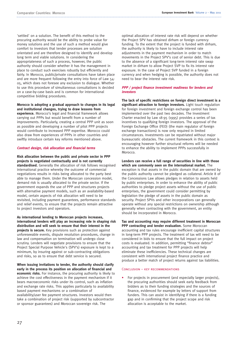'settled' on a solution. The benefit of this method to the procuring authority would be the ability to probe value for money solutions and the use of such a method would give comfort to investors that tender processes are solution orientated and are therefore designed to identify and develop long term and viable solutions. In considering the appropriateness of such a process, however, the public authority should consider whether it has the management in place to conduct such exercises robustly but efficiently and fairly. In Morocco, public/private consultations have taken place and are more frequent following the entry into force of Law 54- 05, which does not foresee any exclusion to dialogue. Whether to use this procedure of simultaneous consultations is decided on a case-by-case basis and is common for international competitive bidding procedures.

#### **Morocco is adopting a gradual approach to changes in its legal and institutional changes, trying to draw lessons from experience.** Morocco's legal and financial framework allows

carrying out PPPs but would benefit from a number of improvements. Particularly, creating a central PPP unit as soon as possible and developing a number of pilot PPP projects would contribute to increased PPP expertise. Morocco could also draw from experiences of PPPs in other countries and swiftly introduce certain key reforms mentioned above.

#### **Contract design, risk allocation and financial terms**

**Risk allocation between the public and private sector in PPP projects is negotiated contractually and is not currently standardised.** Generally the allocation of risk follows recognised international practice whereby the outcome of commercial negotiations results in risks being allocated to the party best able to manage them. Under the Moroccan concession model, demand risk is usually allocated to the private sector. If the government expands the use of PPP and structures projects with alternative payment models, such as an availability-based model, certain aspects of risk allocation will need to be revisited, including payment guarantees, performance standards and relief events, to ensure that the projects remain attractive to project investors and operators.

**As international lending to Moroccan projects increases, international lenders will play an increasing role in shaping risk distribution and will seek to ensure that their interest in the projects is secure.** Key provisions such as protection against unforeseeable events, dispute resolution procedures, change in law and compensation on termination will undergo close scrutiny. Lenders will negotiate provisions to ensure that the Project Special Purpose Vehicle's (SPV's) exposure is kept to a minimum, by insuring against or sub-contracting obligations and risks, so as to ensure that debt service is secured.

**When issuing invitations to tender, the authority should clarify early in the process its position on allocation of financial and economic risks.** For instance, the procuring authority is likely to achieve the cost effectiveness in the payment mechanism if it bears macroeconomic risks under its control, such as inflation and exchange rate risks. This applies particularly to availability based payment mechanisms or a combination of availability/user fee payment structures. Investors would then take a combination of project risk (supported by subcontractor or sponsor guarantees) and Moroccan sovereign risk. The

optimal allocation of interest rate risk will depend on whether the Project SPV has obtained dirham or foreign currency funding. To the extent that the project is funded with dirham, the authority is likely to have to include interest rate adjustments in the payment mechanism in order to match movements in the Project SPV's cost of senior debt. This is due to the absence of a significant long-term interest rate swap market in dirham to allow Project SVP to fix its interest rate exposure. In the case of Project SVP funded in a foreign currency and when hedging is possible, the authority does not need to bear the interest rate risk.

#### **PPP / project finance investment readiness for lenders and investors**

**The lack of specific restrictions on foreign direct investment is a significant attraction to foreign investors.** Light touch regulation for foreign investment and foreign exchange control has been implemented over the past two decades. The Investment Charter enacted by Law 18-95 (1995) provides a series of tax incentives to qualifying foreign investors. The approval of the Foreign Exchange Office (FEO) (the main regulator of foreign exchange transactions) is now only required in limited circumstances. Investments can be repatriated without major bureaucratic obstacles. The current framework in this context is encouraging however further structural reforms will be needed to enhance the ability to implement PPPs successfully in Morocco.

**Lenders can receive a full range of securities in line with those which are commonly seen on the international market.** The exception is that assets in the public domain that are owned by the public authority cannot be pledged as collateral. Article 8 of the Concessions Law allows pledges in relation to assets held by public enterprises. In order to enhance the ability of public authorities to pledge project assets without the use of public enterprises, the government could consider permitting by legislation the pledge of assets in the public domain as security. Project SPVs and other incorporations can generally operate without any special restrictions on ownership although generally when contracting with the government, an entity should be incorporated in Morocco.

**Tax and accounting may require different treatment in Moroccan PPP contracting and tender evaluation.** Some Moroccan accounting and tax rules encourage inefficient capital structures in long-term PPP projects. The treatment of tax will need to be considered in bids to ensure that the full impact on project costs is evaluated. In addition, permitting "finance debtor" accounting and tax treatment for PPP projects will help eliminate these inefficiencies. These technical changes are consistent with international project finance practice and produce a better match of project returns against tax liabilities.

#### Conclusion – key recommendations

For projects in procurement (and especially larger projects), the procuring authorities should seek early feedback from bidders as to their funding strategies and the sources of finance, evidenced for example by letters of support from funders. This can assist in identifying if there is a funding gap and in confirming that the project scope and risk allocation is acceptable to the market.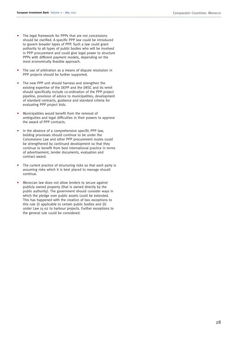- The legal framework for PPPs that are not concessions should be clarified. A specific PPP law could be introduced to govern broader types of PPP. Such a law could grant authority to all types of public bodies who will be involved in PPP procurement and could give legal power to structure PPPs with different payment models, depending on the most economically feasible approach.
- The use of arbitration as a means of dispute resolution in PPP projects should be further supported.
- The new PPP unit should harness and strengthen the existing expertise of the DEPP and the DRSC and its remit should specifically include co-ordination of the PPP project pipeline, provision of advice to municipalities, development of standard contracts, guidance and standard criteria for evaluating PPP project bids.
- Municipalities would benefit from the removal of ambiguities and legal difficulties in their powers to approve the award of PPP contracts.
- In the absence of a comprehensive specific PPP law, bidding processes should continue to be under the Concessions Law and other PPP procurement routes could be strengthened by continued development so that they continue to benefit from best international practice in terms of advertisement, tender documents, evaluation and contract award.
- The current practice of structuring risks so that each party is assuming risks which it is best placed to manage should continue.
- Moroccan law does not allow lenders to secure against publicly owned property (that is owned directly by the public authority). The government should consider ways in which the pledge over public assets could be extended. This has happened with the creation of two exceptions to this rule (i) applicable to certain public bodies and (ii) under Law 15-02 to harbour projects. Further exceptions to the general rule could be considered.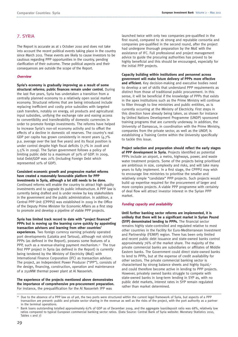# 7. SYRIA

The Report is accurate as at 1 October 2010 and does not take into account the recent political events taking place in the country since March 2011. These events are likely to cause investors to be cautious regarding PPP opportunities in the country, pending clarification of their outcome. These political aspects and their consequences are outside the scope of the Report.

#### **Overview**

**Syria's economy is gradually improving as a result of some structural reforms; public finances remain under control.** During the last five years, Syria has undertaken a transition from a centrally planned economy to a relatively open social market economy. Structural reforms that are being introduced include replacing inefficient and costly price subsidies with targeted cash transfers, notably on energy, oil products and agricultural input subsidies, unifying the exchange rate and easing access to convertibility and transferability of domestic currencies in order to promote foreign investments. The reforms have helped to increase Syria's non-oil economy activity and to offset the effects of a decline in domestic oil reserves. The country's real GDP per capita has grown consistently in recent years (4.7% p.a. average over the last five years) and its fiscal position is under control despite high fiscal deficits (7.7% in 2008 and 5.5% in 2009). The Syrian government follows a policy of limiting public debt to a maximum of 30% of GDP. In 2009, total Debt/GDP was 21% (including Foreign Debt which represented 10% of GDP).

**Consistent economic growth and progressive market reforms have created a reasonably favourable platform for PPP investments in Syria, although a lot still needs to be done.** Continued reforms will enable the country to attract high quality investments and to upgrade its public infrastructure. A PPP law is currently being drafted and is under review by key stakeholders in the government and the public administration. In addition, a Central PPP Unit (CPPPU) was established in 2009 in the Office of the Deputy Prime Minister for Economic Affairs as a first step to promote and develop a pipeline of viable PPP projects.

**Syria has limited track record to date with "project financed" PPPs but is moving up the learning curve quickly by appointing transaction advisors and learning from other countries' experiences.** Two foreign currency earning privately operated port developments (Latakia and Tartous), although not strictly PPPs (as defined in the Report), possess some features of a PPP, such as a revenue-sharing payment mechanism.<sup>10</sup> The true first PPP project in Syria (as defined in the Report) is currently being tendered by the Ministry of Electricity (MoE) with International Finance Corporation (IFC) as transaction advisor. The project, an Independent Power Producer ("IPP"), consists of the design, financing, construction, operation and maintenance of a 250MW thermal power plant at Al Nasserieh.

**The experience of the projects mentioned above demonstrates the importance of comprehensive pre-procurement preparation.** For instance, the prequalification for the Al Nasserieh IPP was

launched twice with only two companies pre-qualified in the first round, compared to 16 strong and reputable consortia and companies pre-qualified in the second round, after the project had undergone thorough preparation by the MoE with the assistance of IFC. Full professional and project management advice to guide the procuring authorities has proved to be highly beneficial and this should be encouraged, especially for the initial PPP projects.

**Capacity building within institutions and personnel across government will make future delivery of PPPs more effective and efficient.** Key decision-making and executive bodies need to develop a set of skills that understand PPP requirements as distinct from those of traditional public procurement. In this sense, it will be beneficial if the knowledge of PPPs that exists in the apex institutions such as the Prime Ministry will continue to filter through to line ministries and public entitites, as is currently occurring at the Ministry of Electricity. First steps in this direction have already being taken, as shown for instance by United Nations Development Programme (UNDP) sponsored training programs that are currently underway. In addition, the University of Damascus, in coordination with the Prime Ministry, companies from the private sector, as well as the UNDP, is establishing a Training Centre within the University specifically to tackle this issue.

**Project selection and preparation should reflect the early stages of PPP development in Syria.** Projects identified as potential PPPs include an airport, a metro, highways, power, and waste water treatment projects. Some of the projects being prioritised are ambitious in size, complexity and risks, and will take many years to fully implement. In a first stage, the CPPPU may wish to encourage line ministries to prioritise the smaller and relatively simple "candidate" PPP projects. Such projects would build up expertise required for the procurement of larger and more complex projects. A viable PPP programme with certainty of deal flow will attract investor interest in the Syrian PPP market.

#### **Funding capacity and availability**

**Until further banking sector reforms are implemented, it is unlikely that there will be a significant market in Syrian Pound (SYP) denominated lending to PPPs.** The financial sector remains highly state-controlled and regulated relative to most other countries in the Facility for Euro-Mediterranean Investment and Partnership (FEMIP) region. There has been only limited and recent public debt issuance and state-owned banks control approximately 76% of the market share. The majority of the private commercial banks are subsidiaries or affiliates of Middle Eastern banks. The Government could direct state-owned banks to lend to PPPs, but at the expense of credit availability for other sectors. The private commercial banking sector is characterised by strong balance sheets and highly liquid,<sup>11</sup> and could therefore become active in lending to PPP projects. However, privately owned banks struggle to compete with state-owned banks in long-term lending in SYP as, with no public debt markets, interest rates in SYP remain regulated rather than market determined.

<sup>10</sup> Due to the absence of a PPP law as of yet, the two ports were structured within the current legal framework of Syria, but aspects of a PPP transaction are present: public and private sector sharing in the revenue as well as the risks of the project, with the port authority as a partner in the terminal operations.

<sup>11</sup> Bank loans outstanding totalled approximately 62% of GDP as of December 2009, and the aggregate loan/deposit ratio was 68%, relatively low ratios compared to typical European commercial banking sector ratios. (Data Source: Central Bank of Syria website: Monetary Statistics 2010, Tables  $1$  and  $7$ )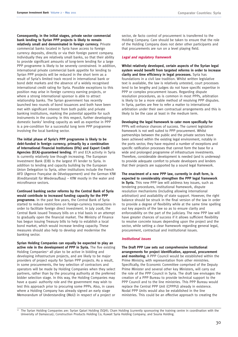**Consequently, in the initial stages, private sector commercial bank lending to Syrian PPP projects is likely to remain relatively small and denominated in foreign currency.** Private commercial banks located in Syria have access to foreign currency deposits, directly or via their foreign parent company. Individually they are relatively small banks, so that their ability to provide significant amounts of long-term lending for a large PPP programme is likely to be severely constrained. In addition, international private commercial bank appetite for lending to Syrian PPP projects will be reduced in the short term as a result of Syria's limited track record in international bank or bond debt markets and the absence of a widely recognised international credit rating for Syria. Possible exceptions to this position may arise in foreign currency earning projects, or where a strong international sponsor is able to attract relationship banks. The Syrian government has recently launched two rounds of bond issuances and both have been met with significant interest from both public and private banking institutions, marking the potential appetite for such instruments in the country. In this respect, further developing domestic banks' lending capacity as well as expertise in PPP is a pre-condition for a successful long term PPP programme involving the local banking sector.

**The initial phase of Syria's PPP programme is likely to be debt-funded in foreign currency, primarily by a combination of International Financial Institutions (IFIs) and Export Credit Agencies (ECA)-guaranteed lending.** IFI and ECA activity in Syria is currently relatively low though increasing. The European Investment Bank (EIB) is the largest IFI lender to Syria. In addition to lending and capacity building by the European Union Delegation to Syria, other institutions include the French AFD (Agence Française de Développement) and the German KfW (Kreditanstalt für Wiederaufbau) – KfW mostly in the water and microfinance sectors.

**Continued banking sector reforms by the Central Bank of Syria would contribute to increased funding capacity for the PPP programme.** In the past few years, the Central Bank of Syria started to reduce restrictions on foreign-currency transactions in order to facilitate foreign direct investment. In July 2008, the Central Bank issued Treasury bills on a trial basis in an attempt to gradually open the financial market. The Ministry of Finance has begun issuing Treasury bills to help to establish a local bond market, which would increase lending capacity. These measures should also help to develop and modernise the banking sector.

**Syrian Holding Companies can equally be expected to play an active role in the development of PPP in Syria.** The five existing Holding Companies<sup>12</sup> all plan to be active in bidding and developing infrastructure projects, and are likely to be major providers of project equity for Syrian PPP projects. As a result, in some procurements, the key selection of contractors and operators will be made by Holding Companies when they select partners, rather than by the procuring authority at the preferred bidder selection stage. In this way, the Holding Companies may have a quasi- authority role and the government may wish to test this approach prior to procuring some PPPs. Also, in cases where a Holding Company has already signed an early stage Memorandum of Understanding (MoU) in respect of a project or

sector, de facto control of procurement is transferred to the Holding Company. Care should be taken to ensure that the role of the Holding Company does not deter other participants and that procurements are run on a level playing field.

#### **Legal and regulatory framework**

**Whilst relatively developed, certain aspects of the Syrian legal system would benefit from targeted reforms in order to increase clarity and time efficiency in legal processes.** Syria has foundations in a civil law tradition. Whilst written legislative text is available, the law is relatively untested, court processes tend to be lengthy and judges do not have specific expertise in PPP or complex procurement issues. Regarding dispute resolution procedures, as is common in most PPPs, arbitration is likely to be a more viable method of resolving PPP disputes. In Syria, parties are free to refer a matter to international arbitration under their own contractual arrangements and this is likely to be the case at least in the medium term.

#### **Developing the legal framework to cater more specifically for**

PPPs will enhance chances of success. The current legislative framework is not well suited to PPP procurement. Whilst partnerships between the public and the private sectors have been achieved within the existing legal environment, notably in the ports sector, they have required a number of exceptions and specific ratification processes that cannot form the base for a wide and prolonged programme of infrastructure investments. Therefore, considerable development is needed (and is underway) to provide adequate comfort to private developers and lenders that their projects are supported by a sound legal framework.

**The enactment of a new PPP law, currently in draft form, is expected to considerably strengthen the PPP legal framework in Syria.** This new PPP law will address key issues, such as tendering procedures, institutional framework, dispute resolution mechanisms (including allowing international arbitration) and availability of state support. However, the right balance should be struck in the final version of the law in order to provide a degree of flexibility while at the same time spelling out key aspects of the law so as to ensure clarity and enforceability on the part of the judiciary. The new PPP law will have greater chances of success if it allows sufficient flexibility to resolve concrete issues depending upon the project and the sector, while setting a clear framework regarding general legal, procurement, contractual and institutional issues.

#### **Institutional issues**

**The Draft PPP Law sets out comprehensive institutional arrangements for project identification, approval, procurement and monitoring.** A PPP Council would be established within the Prime Ministry, with representation from other ministries. Specifically, the Economic Committee comprised of the Deputy Prime Minister and several other key Ministers, will carry out the role of the PPP Council in Syria. The draft law envisages the creation of a PPP Bureau to provide technical support to the PPP Council and to the line ministries. This PPP Bureau would replace the Central PPP Unit (CPPPU) already in existence. Nodal PPP Units would also be established in the line ministries. This could be an effective approach to creating the

<sup>12</sup> The Syrian Holding Companies are: Syrian Qatari Holding (SQH); Cham Holding (currently sponsoring the training centre in coordination with the University of Damascus); Construction Products Holding Co; Kuwait Syria Holding Company; and Souria Holding.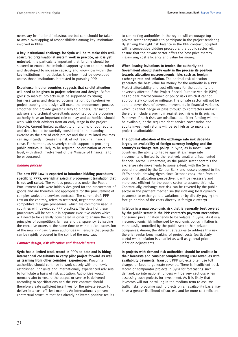necessary institutional infrastructure but care should be taken to avoid overlapping of responsibilities among key institutions involved in PPPs.

**A key institutional challenge for Syria will be to make this wellstructured organisational system work in practice, as it is yet untested.** It is particularly important that funding should be secured to enable the technical support system to be recruited and developed to increase capacity and know-how within the key institutions. In particular, know-how must be developed across those institutions interested in pursuing PPP.

**Experience in other countries suggests that careful attention will need to be given to project selection and design.** Before going to market, projects must be supported by strong business cases and detailed documentation. Comprehensive project scoping and design will make the procurement process smoother and provide greater clarity to bidders. Transaction advisers and technical consultants appointed by the procuring authority have an important role to play and authorities should work with their advisers from an early stage in the project lifecycle. Current limited availability of funding, of both equity and debt, has to be carefully considered in the planning exercise as the size of each project and the cumulated volumes can significantly increase the risk of not reaching financial close. Furthermore, as sovereign credit support to procuring public entities is likely to be required, co-ordination at central level, with direct involvement of the Ministry of Finance, is to be encouraged.

#### **Bidding process**

**The new PPP Law is expected to introduce bidding procedures specific to PPPs, overriding existing procurement legislation that is not well suited.** The various procedures under the Public Procurement Code were initially designed for the procurement of goods and are therefore not appropriate for the procurement of complex works and services contracts. The current draft PPP Law on the contrary, refers to restricted, negotiated and competitive dialogue procedures, which are commonly used in countries with developed PPP practices. The detail of these procedures will be set out in separate executive orders which will need to be carefully considered in order to ensure the core principles of competition, fairness and transparency. By issuing the executive orders at the same time or within quick succession of the new PPP Law, Syrian authorities will ensure that projects can be rapidly procured in the spirit of the new Law.

#### **Contract design, risk allocation and financial terms**

**Syria has a limited track record in PPPs to date and is hiring international consultants to carry pilot project forward as well as learning from other countries' experiences.** Procuring authorities should continue to work closely with the newly established PPP units and internationally experienced advisers to formulate a basis of risk allocation. Authorities would normally aim to ensure the output or service is delivered according to specifications and the PPP contract should therefore create sufficient incentives for the private sector to deliver in a cost efficient manner. An internationally proven contractual structure that has already delivered positive results to contracting authorities in the region will encourage top private sector companies to participate in the project tendering. By striking the right risk balance in the PPP contract, coupled with a competitive bidding procedure, the public sector will ensure that the private sector offers the best price thereby maximizing cost efficiency and value for money.

**When issuing invitations to tender, the authority and Government should clarify early in the process its position towards allocation macroeconomic risks such as foreign exchange rate and inflation.** The optimal risk allocation generates the best value for money for the authority in a PPP. Project affordability and cost efficiency for the authority are adversely affected if the Project Special Purpose Vehicle (SPV) has to bear macroeconomic or policy risks which it cannot appropriately control or mitigate. The private sector will not be able to cover risks of adverse movements in financial variables which it cannot hedge or pass through to contractors and will therefore include a premium against such risks in its pricing. Moreover, if such risks are misallocated, either funding will not be available, or the required debt service cover ratios and equity investment returns will be so high as to make the project unaffordable.

**The optimal allocation of the exchange rate risk depends largely on availability of foreign currency hedging and the country's exchange rate policy.** In Syria, as in most FEMIP countries, the ability to hedge against exchange rate movements is limited by the relatively small and fragmented financial sector. Furthermore, as the public sector controls the exchange rate movements to some extent, with the Syrian pound managed by the Central Bank and loosely pegged to the IMF's special drawing rights since October 2007, then from an optimal risk allocation perspective, it will be necessary and more cost efficient for the public sector to assume this risk. Contractually, exchange rate risk can be covered by the public sector in the payment mechanism (by indexing local currency payments to exchange rate variations or by directly paying the foreign portion of the costs directly in foreign currency).

I**nflation is a macroeconomic risk that is generally best covered by the public sector in the PPP contract's payment mechanism.** Consumer price inflation tends to be volatile in Syria. As it is a macroeconomic risk influenced by economic policy, inflation is more easily controlled by the public sector than private companies. Among the different strategies to address this risk, there is regular benchmarking of project costs (particularly useful when inflation is volatile) as well as general price inflation adjustments.

**In projects with demand risk authorities should be realistic in their forecasts and consider complementing user revenues with availability payments.** Transport PPP projects often use toll charges or fares to generate revenue. There is insufficient track record or comparator projects in Syria for forecasting such demand, so international funders will be very cautious when assessing such projects for investment. As it is likely that investors will not be willing in the medium term to assume traffic risks, procuring such projects on an availability basis may have a greater likelihood of success and be more cost-efficient.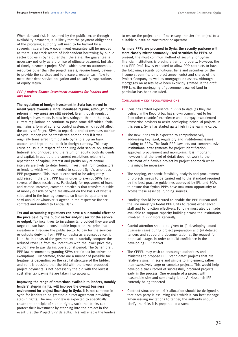When demand risk is assumed by the public sector through availability payments, it is likely that the payment obligations of the procuring authority will need to be backed by a sovereign guarantee. A government guarantee will be needed as there is no track record of independent borrowing by public sector bodies in Syria other than the state. The guarantee is necessary not only as a promise of ultimate payment, but also of timely payment: project SPVs, which have no autonomous resources other than the project assets, require timely payment to provide the services and to ensure a regular cash flow to meet their debt service obligation and to satisfy expectations of equity return.

#### **PPP / project finance investment readiness for lenders and investors**

**The regulation of foreign investment in Syria has moved in recent years towards a more liberalised regime, although further reforms in key areas are still needed.** Even though regulation of foreign investments is now less stringent than in the past, current regulations do continue to pose some difficulties. Syria maintains a form of currency control system, which could affect the ability of Project SPVs to repatriate project revenues outside of Syria; money can be transferred abroad only if it was originally transferred from outside Syria to a Syrian bank account and kept in that bank in foreign currency. This may cause an issue in respect of honouring debt service obligations (interest and principal) and the return on equity, both dividends and capital. In addition, the current restrictions relating to repatriation of capital, interest and profits only at annual intervals are likely to deter foreign investment from contractors or lenders, which will be needed to support Syria's ambitious PPP programme. This issue is expected to be adequately addressed in the draft PPP law in order to exempt SPVs from several of these restrictions. Particularly for repayment of loans and related interests, common practice is that transfers outside of money outside of Syria are allowed on the basis of what is stipulated in the loan agreements, so it can be quarterly or semi-annual or whatever is agreed in the respective finance contract and notified to Central Bank.

**Tax and accounting regulations can have a substantial effect on the price paid by the public sector and/or user for the service or output.** Tax incentives to investments, provided they are well targeted, can have a considerable impact on the price that investors will require the public sector to pay for the services or outputs deriving from PPP contracts; as a consequence, it is in the interests of the government to carefully compare the reduced revenue from tax incentives with the lower price they would have to pay during operational period. The Syrian draft PPP law recommends granting SPVs certain tax incentives or exemptions. Furthermore, there are a number of possible tax treatments depending on the capital structure of the bidder, and so it is possible that the bid with the lowest proposed project payments is not necessarily the bid with the lowest cost after tax payments are taken into account.

**Improving the range of protections available to lenders, notably lenders' step-in rights, will improve the overall business environment for project financing in Syria.** It is not common in Syria for lenders to be granted a direct agreement providing step-in rights. The new PPP law is expected to specifically create the principle of step-in rights, such that banks can protect their investment by stepping into the project in the event that the Project SPV defaults. This will enable the lenders

to rescue the project and, if necessary, transfer the project to a suitable substitute constructor or operator.

**As more PPPs are procured in Syria, the security package will more closely mirror commonly used securities for PPPs.** At present, the most common method of security for Syrian financial institutions is placing a lien on property. However, the new PPP Draft law is expected to allow PPP contracts to have the following security conditions: liens and securities on the income stream (ie. on project agreements) and shares of the Project Company as well as mortgages on assets. Although mortgages on assets have been explicitly granted in the draft PPP Law, the mortgaging of government owned land in particular has been excluded.

#### Conclusion – key recommendations

- Syria has limited experience in PPPs to date (as they are defined in the Report) but has shown commitment to learn from other countries' experience and to engage experienced transaction advisors to assist developing individual projects. In this sense, Syria has started quite high in the learning curve.
- The new PPP Law is expected to comprehensively addressing key legal, regulatory and institutional issues relating to PPPs. The Draft PPP Law sets out comprehensive institutional arrangements for project identification, approval, procurement and monitoring. It is important however that the level of detail does not work to the detriment of a flexible project by project approach when this might be necessary.
- The scoping, economic feasibility analysis and procurement of projects needs to be carried out to the standard required by the best practice guidelines approved by IFIs and ECAs to ensure that Syrian PPPs have maximum opportunity to access these essential funding sources.
- Funding should be secured to enable the PPP Bureau and the line ministry's Nodal PPP Units to recruit experienced staff and to function effectively. Funding must also be made available to support capacity building across the institutions involved in PPP more generally.
- Careful attention should be given to (i) developing sound business cases during project preparation and (ii) detailed tenders and supporting documentation at the request for proposals stage, in order to build confidence in the developing PPP market.
- The CPPPU may wish to encourage authorities and ministries to propose PPP "candidate" projects that are relatively small in scale and simple to implement, rather than excessively large or complex projects. This would help develop a track record of successfully procured projects early in the process. One example of a project with reasonable size and complexity is the Al Nasserieh IPP currently being tendered.
- Contract structure and risk allocation should be designed so that each party is assuming risks which it can best manage. When issuing invitations to tender, the authority should clarify the risks it is prepared to assume.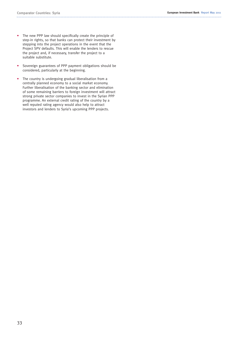- The new PPP law should specifically create the principle of step-in rights, so that banks can protect their investment by stepping into the project operations in the event that the Project SPV defaults. This will enable the lenders to rescue the project and, if necessary, transfer the project to a suitable substitute.
- Sovereign guarantees of PPP payment obligations should be considered, particularly at the beginning.
- The country is undergoing gradual liberalisation from a centrally planned economy to a social market economy. Further liberalisation of the banking sector and elimination of some remaining barriers to foreign investment will attract strong private sector companies to invest in the Syrian PPP programme. An external credit rating of the country by a well reputed rating agency would also help to attract investors and lenders to Syria's upcoming PPP projects.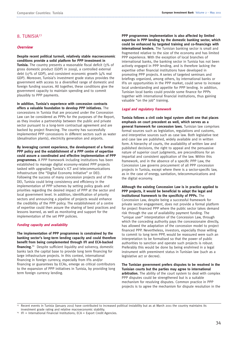# 8. TUNISIA<sup>13</sup>

#### **Overview**

**Despite recent political turmoil, relatively stable macroeconomic conditions provide a solid platform for PPP investment in Tunisia.** The country presents a reasonable fiscal deficit (3% of gross domestic product (GDP) in 2009), a controlled external debt (17% of GDP), and consistent economic growth (4% real GDP). Moreover, Tunisia's investment grade status provides the government with access to a diversified range of domestic and foreign funding sources. All together, these conditions give the government capacity to maintain spending and to commit plausibly to PPP payments.

**In addition, Tunisia's experience with concession contracts offers a valuable foundation to develop PPP initiatives.** The concessions in Tunisia that are procured under the Concession Law can be considered as PPPs for the purposes of the Report, as they involve a partnership between the public and private sector pursuant to a long-term contractual agreement and are backed by project financing. The country has successfully implemented PPP concessions in different sectors such as water (desalination plants), electricity generation and airports.

**By leveraging current experience, the development of a formal PPP policy and the establishment of a PPP centre of expertise could assure a coordinated and effective implementation of PPP programmes.** A PPP framework including institutions has been established to manage digital economy-related PPP projects tasked with upgrading Tunisia's ICT and telecommunications infrastructure (the "Digital Economy Initiative" or DEI). Following the success of many concession projects and of the DEI, Tunisia could bring consistency and efficiency in the implementation of PPP schemes by setting policy goals and priorities regarding the desired impact of PPP at the sector and local government level. In addition, identification of priority sectors and announcing a pipeline of projects would enhance the credibility of the PPP policy. The establishment of a centre of expertise could then assure the sharing of best practices and lessons learned, as well as monitoring and support for the implementation of the set PPP policies.

### **Funding capacity and availability**

**The implementation of PPP programmes is constrained by the banking sector's long-term lending capacity and could therefore benefit from being complemented through IFI and ECA-backed financing.**<sup>14</sup> Despite sufficient liquidity and solvency, domestic banks lack the capital base to provide long term financing for large infrastructure projects. In this context, international financing in foreign currency, especially from IFIs and/or financing or guarantees by ECAs, emerge as critical contributors to the expansion of PPP initiatives in Tunisia, by providing long term foreign currency lending.

**PPP programmes implementation is also affected by limited expertise in PPP lending by the domestic banking sector, which could be enhanced by targeted training and co-financings with international lenders.** The Tunisian banking sector is small and fragmented relative to the size of the economy and has limited PPP experience. With the exception of local branches of international banks, the banking sector in Tunisia has not been actively engaged in PPP lending, and is therefore lacking the expertise other financial institutions have developed in promoting PPP projects. A series of targeted seminars and briefings organized, among others, by international banks or IFIs on opportunities in the PPP market, could serve to increase local understanding and appetite for PPP lending. In addition, Tunisian local banks could provide some finance for PPPs together with international financial institutions, thus gaining valuable "on the job" training.

#### **Legal and regulatory framework**

**Tunisia follows a civil code legal system albeit one that places emphasis on court precedent as well, which serves as a general framework for concession laws.** Tunisian law comprises formal sources such as legislation, regulations and customs, and interpretive sources such as case law. Both legislative text and case law are published, widely available and in written form. A hierarchy of courts, the availability of written law and published decisions, the right to appeal and the persuasive nature of superior court judgments, are preconditions for an impartial and consistent application of the law. Within this framework, and in the absence of a specific PPP Law, the Concession Law governs procurement of all PPP concession projects in Tunisia, except where there is a sector-specific law, as in the case of energy, sanitation, telecommunications and the digital economy.

**Although the existing Concession Law is in practice applied to PPP projects, it would be beneficial to adapt the legal and institutional framework to the specificity of PPPs.** The Concession Law, despite being a successful framework for private sector engagement, does not provide a formal platform for project financed PPP where the public sector takes demand risk through the use of availability payment funding. The "unique user" interpretation of the Concession Law, through which the conceding authority pays the concessionaire directly. has allowed the adaptation of the concession model to project financed PPP. Nevertheless, investors, especially those willing to commit to long term PPP, would be reassured were such an interpretation to be formalised so that the power of public authorities to sanction and operate such projects is robust. Preferably this would be done by being enshrined in a legal instrument with preeminent status in Tunisian law (such as a legislative act or decree).

**The Tunisian government prefers disputes to be resolved in the Tunisian courts but the parties may agree to international arbitration.** The ability of the court system to deal with complex PPP disputes could be strengthened but is a suitable mechanism for resolving disputes. Common practice in PPP projects is to agree the mechanism for dispute resolution in the

Recent events in Tunisia (January 2011) have contributed to increased political instability but as at March 2011 the country maintains its investment grade rating and relative macroeconomic stability.

<sup>&</sup>lt;sup>14</sup> IFI = International Financial Institutions; ECA = Export Credit Agencies.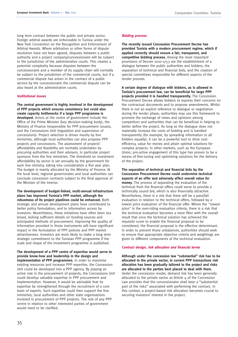long term contract between the public and private sector. Foreign arbitral awards are enforceable in Tunisia under the New York Convention on the Recognition and Enforcement of Arbitral Awards. Where arbitration or other forms of dispute resolution have not been agreed, disputes between a public authority and a project company/concessionaire will be subject to the jurisdiction of the administrative courts. This creates a potential complexity because disputes between the concessionaire and a member of its supply chain will normally be subject to the jurisdiction of the commercial courts, but if a commercial dispute has arisen in the contract of a public service by the concessionaire the commercial dispute can be also heard at the administrative courts.

#### **Institutional issues**

**The central government is highly involved in the development of PPP projects which ensures consistency but could also create capacity bottlenecks if a large PPP programme is developed.** Actors at the centre of government include the Office of the Prime Minister (key decision-making body), the Ministry of Finance (responsible for PPP procurement issues), and the Concessions Unit (regulation and supervision of concessions). Project selection is driven mostly by line ministries, although local authorities can also propose PPP projects and concessions. The assessment of projects' affordability and feasibility are normally undertaken by procuring authorities and their advisers, in particular project sponsors from the line ministries. The threshold on investment affordability by sector is set annually by the government for each line ministry, taking into consideration a five year plan. The budget is mainly allocated by the Ministry of Finance. At the local level, regional governorates and local authorities can conclude concession contracts subject to the final approval of the Minister of the Interior.

**The development of budget-linked, multi-annual infrastructure plans has improved Tunisia's PPP market, although the robustness of its project pipelines could be enhanced.** Both strategic and annual development plans have contributed to better policy formulation, and to information access by investors. Nevertheless, these initiatives have often been too broad, lacking sufficient details on funding sources and anticipated methods of procurement. Improving the quality of information provided in those instruments will have significant impact in the formulation of PPP policies and PPP market attractiveness. Investors are more likely to make a long term strategic commitment to the Tunisian PPP programme if the scale and shape of the investment programme is published.

**The development of a PPP centre of expertise would serve to provide know-how and leadership in the design and implementation of PPP programmes.** In order to maximise existing resources and increase PPP expertise, the Concession Unit could be developed into a PPP agency. By playing an active role in the procurement of projects, the Concessions Unit could develop valuable expertise in PPP procurement and implementation. However, it would be advisable that its expertise be strengthened through the recruitment of a core team of experts. Such expertise could then support the line ministries, local authorities and other state organisations involved in procurement of PPP projects. The role of any PPP centre in relation to other interested parties of government would need to be clarified.

#### **Bidding process**

**The recently issued Concession Procurement Decree has provided Tunisia with a modern procurement regime, which if applied correctly should ensure a fair, transparent, and competitive bidding process.** Among the most important provisions of Decree 2010-1753 are the establishment of a dialogue between the public authorities and bidders, the separation of technical and financial bids, and the creation of special committees responsible for different aspects of the tender process.

**A certain degree of dialogue with bidders, as is allowed in Tunisia's procurement law, can be beneficial for large PPP projects provided it is handled transparently.** The Concession Procurement Decree allows bidders to express their concerns on the contractual documents and to propose amendments. Whilst there is not an explicit reference to dialogue or negotiation during the tender phase, authorities may use this framework to promote the exchange of views and opinions among competitors and authorities that can be beneficial in helping to better define the project. As long as the dialogue does not materially increase the costs of bidding and is handled transparently (for example, by spreading information to all bidders equally), it can be a powerful tool to drive costefficiency, value for money and attain optimal solutions for complex projects. In other markets, such as the European Union, pro-active engagement of this type has proven to be a means of fine-tuning and optimising solutions for the delivery of the project.

**The separation of technical and financial bids by the Concession Procurement Decree could undermine technical aspects of an offer and adversely affect overall value for money.** The process of separating the evaluation of the technical from the financial offers could serve to provide a technically sound bid, which is also financially attractive. Nevertheless, there is a risk that there will be a pass/fail evaluation in relation to the technical offers, followed by a lowest price evaluation of the financial offer. Where the "lowest price" is the over-riding evaluation criteria, there is a risk that the technical evaluation becomes a mere filter with the overall result that once the technical solution has achieved the requisite score to enable the financial proposal to be considered, the financial proposal is the effective determinant. In order to prevent those unbalances, authorities should seek to ensure that appropriate objective criteria and weightings are given to different components of the technical evaluation.

#### **Contract design, risk allocation and financial terms**

**Although under the concession law "substantial" risk has to be allocated to the private sector, in current PPP transactions risk allocation has been gradually tailored to the project and risks are allocated to the parties best placed to deal with them.** Under the concession model, demand risk has been generally allocated to the private sector as Article 4 of the Concession Law provides that the concessionaire shall bear a "substantial part of the risks" associated with performing the contract. In this context, a project-based risk allocation becomes crucial to securing investors' interest in the project.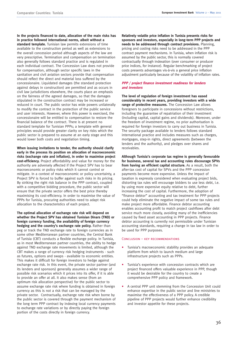**In the projects financed to date, allocation of the main risks has in practice followed international norms, albeit without a standard template.** Tunisian law permits extensions of time available to the construction period as well as extensions to the overall concession period although aspects of the law are very prescriptive. Termination and compensation on termination also generally follows standard practice and is regulated in each individual contract. The Concession Law does not provide for compensation, although sector specific laws in the sanitation and civil aviation sectors provide that compensation should reflect the direct and material loss suffered by the concessionaire. Liquidated damages (the standard protection against delays in construction) are permitted and as occurs in civil law jurisdictions elsewhere, the courts place an emphasis on the fairness of the agreed damages, so that the damages stipulated in the construction contract may be increased or reduced in court. The public sector has wide powers unilaterally to modify the contract in the protection of the public service and user interests. However, where this power is exercised, the concessionaire will be entitled to compensation to restore the financial balance of the contract. There is at present no standard template for Tunisian PPPs; a template with general principles would provide greater clarity on key risks which the public sector is prepared to assume at an early stage and this would lower both costs and negotiation timing.

**When issuing invitations to tender, the authority should clarify early in the process its position on allocation of macroeconomic risks (exchange rate and inflation), in order to maximise project cost-efficiency.** Project affordability and value for money for the authority are adversely affected if the Project SPV has to bear macroeconomic or policy risks which it cannot control or mitigate. In a context of macroeconomic or policy uncertainty, a Project SPV is forced to buffer against such risks in its pricing. By striking the right risk balance in the PPP contract, coupled with a competitive bidding procedure, the public sector will ensure that the private sector offers the best price thereby maximising its cost-efficiency. In order to maximise the value of PPPs for Tunisia, procuring authorities need to adapt risk allocation to the characteristics of each project.

**The optimal allocation of exchange rate risk will depend on whether the Project SPV has obtained Tunisian Dinars (TND) or foreign currency funding, the availability of foreign currency hedging and the country's exchange rate policy.** Rather than peg or track the TND exchange rate to foreign currencies as in some other Mediterranean partner countries, the Central Bank of Tunisia (CBT) conducts a flexible exchange policy. In Tunisia, as in most Mediterranean partner countries, the ability to hedge against TND exchange rate movements is limited, although the CBT makes a range of currency risk hedging instruments - such as futures, options and swaps - available to economic entities. This makes it difficult for foreign investors to hedge against exchange rate risk. In this event, the private sector partner (and its lenders and sponsors) generally assumes a wider range of possible risk scenarios which it prices into its offer, if it is able to provide an offer at all. It also makes sense (from an optimum risk allocation perspective) for the public sector to assume exchange rate risk where funding is obtained in foreign currency as this is not a risk that can be managed by the private sector. Contractually, exchange rate risk when borne by the public sector is covered through the payment mechanism of the long term PPP contract by indexing local currency payments to exchange rate variations or by directly paying the foreign portion of the costs directly in foreign currency.

**Relatively volatile price inflation in Tunisia presents risks for sponsors and investors, especially in long-term PPP projects and needs to be addressed through contract provisions.** Planning, pricing and costing risks need to be addressed in the PPP contract payment mechanisms. In Tunisia, when inflation risk is assumed by the public sector, this is normally covered contractually through indexation (over consumer or producer price indices, for instance). Regular benchmarking of project costs presents advantages vis-à-vis a general price inflation adjustment particularly because of the volatility of inflation rates.

#### **PPP / project finance investment readiness for lenders and investors**

**The level of regulation of foreign investment has eased considerably in recent years, providing investors with a wide range of protective measures.** The Concession Law allows foreigners to participate in concessions without restrictions, including the guarantee of repatriation of their investment (including capital, capital gains and dividends). Moreover, under the freedom of investment regime, no prior authorisation is required for foreign investors to carry out business in Tunisia. The security package available to lenders follows standard international practice and includes measures such as charges, mortgages, step-in rights, direct agreements (between the lenders and the authority), and pledges over shares and receivables.

**Although Tunisia's corporate tax regime is generally favourable for business, several tax and accounting rules discourage SPVs from having an efficient capital structure.** As a result, both the after-tax cost of capital for SPVs and the PPP concession payments become more expensive. Unless the impact of taxation is expressly considered when evaluating project bids, distorting tax rules will encourage bidders to use less debt, i.e. by using more expensive equity relative to debt, further increasing the cost of capital. Furthermore, the adoption of "finance debtor" accounting and tax treatment for PPP projects could help eliminate the negative impact of some tax rules and make project more affordable. Finance debtor accounting enables accounting profit to match project cashflows after debt service much more closely, avoiding many of the inefficiencies caused by fixed asset accounting in PPP projects. Finance debtor accounting is currently not permissible under Tunisian accounting standards, requiring a change in tax law in order to be used for PPP purposes.

#### Conclusion – key recommendations

- Tunisia's macroeconomic stability provides an adequate platform from which to launch medium and large infrastructure projects such as PPPs.
- Tunisia's experience with concession contracts which are project financed offers valuable experience in PPP, though it would be desirable for the country to create a comprehensive PPP policy and framework.
- A central PPP unit stemming from the Concession Unit could enhance expertise in the public sector and line ministries to maximise the effectiveness of a PPP policy. A credible pipeline of PPP projects would further enhance credibility and investor appetite for these projects.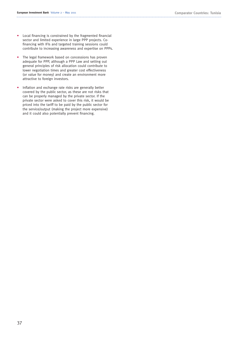- Local financing is constrained by the fragmented financial sector and limited experience in large PPP projects. Cofinancing with IFIs and targeted training sessions could contribute to increasing awareness and expertise on PPPs.
- The legal framework based on concessions has proven adequate for PPP, although a PPP Law and setting out general principles of risk allocation could contribute to lower negotiation times and greater cost effectiveness (or value for money) and create an environment more attractive to foreign investors.
- Inflation and exchange rate risks are generally better covered by the public sector, as these are not risks that can be properly managed by the private sector. If the private sector were asked to cover this risk, it would be priced into the tariff to be paid by the public sector for the service/output (making the project more expensive) and it could also potentially prevent financing.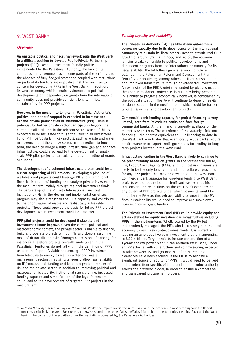# 9. WEST BANK15

#### **Overview**

**An unstable political and fiscal framework puts the West Bank in a difficult position to develop Public-Private Partnership projects (PPP).** Despite investment-friendly policies implemented by the Palestinian Authority, the lack of full control by the government over some parts of the territory and the absence of fully fledged statehood coupled with restrictions on parts of its territory, make political risk the key investor concern for developing PPPs in the West Bank. In addition, its weak economy, which remains vulnerable to political developments and dependent on grants from the international community, does not provide sufficient long-term fiscal sustainability for PPP projects.

**However, in the medium to long-term, Palestinian Authority's policies, and donors' support is expected to increase and expand private participation in infrastructure (PPI).** There is potential for further private sector participation beyond the current small-scale PPI in the telecom sector. Much of this is expected to be facilitated through the Palestinian Investment Fund (PIF), particularly in key sectors, such as waste and water management and the energy sector. In the medium to longterm, the need to bridge a huge infrastructure gap and enhance infrastructure, could also lead to the development of smallscale PPP pilot projects, particularly through blending of grants and loans.

**The development of a coherent infrastructure plan could foster a clear sequencing of PPI projects.** Developing a pipeline of well-designed projects could leverage PIF and international financial institutions' funding and catalyze private investment in the medium-term, mainly through regional investment funds. The partnership of the PIF with International Financial Institutions (IFIs) in the design and implementation of such program may also strengthen the PIF's capacity and contribute to the prioritization of viable and realistically achievable projects. These could provide the basis for future PPP project development when investment conditions are met.

**PPP pilot projects could be developed if stability and investment climate improve.** Given the current political and macroeconomic context, the private sector is unable to finance, build and operate projects without IFIs and donors assuming most of (if not all) the risks (through concessional financing, for instance). Therefore projects currently undertaken in the Palestinian Territories do not fall within the definition of PPPs used in the Report. A viable sequencing of PPP investments from telecoms to energy as well as water and waste management sectors, may simultaneously allow less reliability on IFI/concessional funding and lead to a gradual transfer of risks to the private sector. In addition to improving political and macroeconomic stability, institutional strengthening, increased funding capacity and simplification of the legal framework, could lead to the development of targeted PPP projects in the medium term.

#### **Funding capacity and availability**

**The Palestinian Authority (PA) has little if any autonomous borrowing capacity due to its dependence on the international community to sustain its fiscal stance.** Despite growth (real GDP growth of around 7% p.a. in 2009 and 2010), the economy remains weak, vulnerable to political developments and dependent on grants from the international community for its fiscal stability. The PA follows general economic policies outlined in the Palestinian Reform and Development Plan (PRDP) 2008-10 aiming, among others, at fiscal consolidation and improved infrastructure through private-sector investment. An extension of the PRDP, originally funded by pledges made at the 2008 Paris donor conference, is currently being prepared. PA's ability to progress economically however, is constrained by the political situation. The PA will continue to depend heavily on donor support in the medium term, which could be further targeted specifically to development projects.

**Commercial bank lending capacity for project financing is very limited, both from Palestinian banks and from foreign commercial banks.** All the financing currently available on the market is short term. The experience of the Wataniya Telecom financing – the nearest equivalent to PPP financing to date in the West Bank – indicates that even locally active banks require credit insurance or export credit guarantees for lending to long term projects located in the West Bank.

**Infrastructure funding in the West Bank is likely to continue to be predominantly based on grants.** In the foreseeable future, IFIs, Export Credit Agency (ECAs) and political risk insurers are likely to be the only long-term funders or collateral providers for any PPP project that may be developed in the West Bank. Commercial bank appetite for long-term lending to West Bank projects would require both a significant easing in political tensions and on restrictions on the West Bank economy. For any potential PPP projects under which payments would be made by the PA (e.g. through availability payments), the PA's fiscal sustainability would need to improve and move away from reliance on grant funding.

**The Palestinian Investment Fund (PIF) could provide equity and act as catalyst for equity investment in infrastructure including PPPs in the medium-term.** Wholly owned by the PA but independently managed, the PIF's aim is to strengthen the local economy through key strategic investments. It is currently leading an ambitious five year investment program amounting to USD 4 billion. Target projects include construction of a 140MW-200MW power plant in the northern West Bank, under an IPP scheme, with construction and commissioning expected to take between 24 and 30 months, after the required clearances have been secured. If the PIF is to become a significant source of equity for PPPs, it would need to be kept independent from specific bidders until the procuring authority selects the preferred bidder, in order to ensure a competitive and transparent procurement process.

Note on the usage of terminology in the Report: Whilst the Report covers the West Bank (and the economic analysis throughout the Report concerns exclusively the West Bank unless otherwise stated), the terms Palestine/Palestinian refer to the territories covering Gaza and the West Bank in the context of the activities of, or the institutions operated by, the Palestinian Authorities.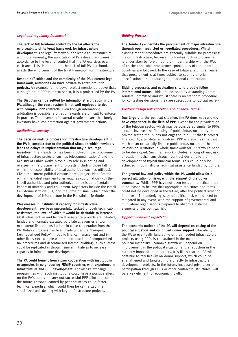#### **Legal and regulatory framework**

**The lack of full territorial control by the PA affects the enforceability of its legal framework for infrastructure development.** The legal framework applicable to infrastructure and more generally, the application of Palestinian law, varies in accordance to the level of control that the PA exercises over each area. This, in addition to the lack of full PA statehood, affects the enforcement of the legal framework for infrastructure.

**Despite difficulties and the complexity of the PA's current legal framework, authorities do have powers to enter into PPP projects.** An example is the power project mentioned above that, although not a PPP in strictu sensu, it is a project led by the PA.

**The Disputes can be settled by international arbitration in the PA, although the court system is not well equipped to deal** with complex PPP contracts. Even though international arbitration is possible, arbitration awards are difficult to enforce in practice. The absence of bilateral treaties means that foreign investors have less protection against government actions.

#### **Institutional capacity**

**The decision making process for infrastructure development in the PA is complex due to the political situation which inevitably leads to delays in implementation that may discourage investors.** The Presidency has been involved in the procurement of infrastructure projects (such as telecommunications) and the Ministry of Public Works plays a key role in initiating and overseeing the procurement of projects including those falling within the responsibility of local authorities (such as utilities). Given the current political circumstances, project identification within the Palestinian Territories requires coordination with the Israeli authorities and prior authorization by Israel of certain import of materials and equipment. Key actors include the Israeli Civil Administration (ICA) and the State of Israel, which affect the development of infrastructure in the Palestinian Territories.

**Weaknesses in institutional capacity for infrastructure development have been successfully tackled through technicalassistance, the level of which it would be desirable to increase.** Most infrastructure and technical assistance projects are initiated, funded and normally executed by bilateral agencies and/or multilateral financial institutions in close cooperation from the PA. Notable progress has been made under the "European Neighbourhood Policy" in public finance management and in other fields (for example with the introduction of computerised tax procedures and decentralised internal auditing); such success could be replicated in through similar initiatives to increase

**The PA could benefit from closer cooperation with institutions or agencies in neighbouring FEMIP countries with experience in infrastructure and PPP development.** Knowledge exchange programmes with such institutions could have a positive effect on the PA's ability to carry out successful PPP pilot projects in the future. Lessons learned by peer countries could foster technical expertise, which could then be centralized in a specialized unit dealing with large infrastructure projects.

capacity in infrastructure development.

#### **Bidding Process**

**The Tender Law permits the procurement of major infrastructure through open, restricted or negotiated procedures.** Whilst existing tender procedures are generally suitable for processing major infrastructure, because much infrastructure procurement is undertaken by foreign donors (in partnership with the PA), often the applicable procurement procedures of the donor countries are followed. In the case of bilateral aid, this means that procurement is at times subject to country of origin specifications, thus reducing international competition.

**Bidding processes and evaluation criteria broadly follow international norms.** Bids are assessed by a standing Central Tenders Committee and whilst there is no standard procedure for contesting decisions, they are susceptible to judicial review.

#### **Contract design risk allocation and financial terms**

**Due largely to the political situation, the PA does not currently have experience in the field of PPP.** Except for the privatisation of the telecom sector, which may be considered similar to PPPs since it involves the financing of public infrastructure by the private sector, the PA has not engaged in a PPP that is project financed. If, after detailed analysis, PPP is viewed as the best mechanism to partially finance public infrastructure in the Palestinian Territories, a whole framework for PPPs would need to be developed. Such framework includes, among others, risk allocation mechanisms through contract design and the development of typical financial terms. This could only be achieved through strong technical assistance funded by donors.

**The general law and policy within the PA would allow for a correct allocation of risks, with the support of the donor community.** Whilst PPP have not been tested in practice, there is no reason to believe that appropriate structures and terms could not be developed in the future, after the political situation improves. The underlying issue of political risk would need to mitigated in any event, with the support of governmental and multilateral organisations prepared to absorb substantial elements of the political risk.

#### **Opportunities and expectation**

**The economic outlook of the PA will depend on easing of the political situation and continued donor support.** The ability of the PA to eventually fund some of their needed infrastructure projects using PPPs is constrained in the medium term by political instability. Economic growth will depend on improvement in the political situation and a reduction in the currently imposed trade barriers. It is likely that the PA will continue to rely heavily on donor support, which could be strengthened and targeted more directly to infrastructure development projects. In the future, increased private sector participation through PPPs or other contractual structures, will be a key element for economic growth.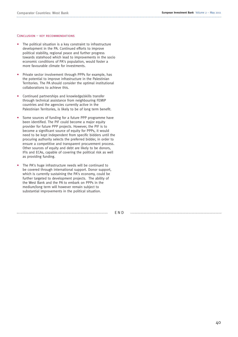#### Conclusion – key recommendations

- The political situation is a key constraint to infrastructure development in the PA. Continued efforts to improve political stability, regional peace and further progress towards statehood which lead to improvements in the socio economic conditions of PA's population, would foster a more favourable climate for investments.
- Private sector involvement through PPPs for example, has the potential to improve infrastructure in the Palestinian Territories. The PA should consider the optimal institutional collaborations to achieve this.
- Continued partnerships and knowledge/skills transfer through technical assistance from neighbouring FEMIP countries and the agencies currently active in the Palestinian Territories, is likely to be of long term benefit.
- Some sources of funding for a future PPP programme have been identified. The PIF could become a major equity provider for future PPP projects. However, the PIF is to become a significant source of equity for PPPs, it would need to be kept independent from specific bidders until the procuring authority selects the preferred bidder, in order to ensure a competitive and transparent procurement process. Other sources of equity and debt are likely to be donors, IFIs and ECAs, capable of covering the political risk as well as providing funding.
- The PA's huge infrastructure needs will be continued to be covered through international support. Donor support, which is currently sustaining the PA's economy, could be further targeted to development projects. The ability of the West Bank and the PA to embark on PPPs in the medium/long term will however remain subject to substantial improvements in the political situation.

END